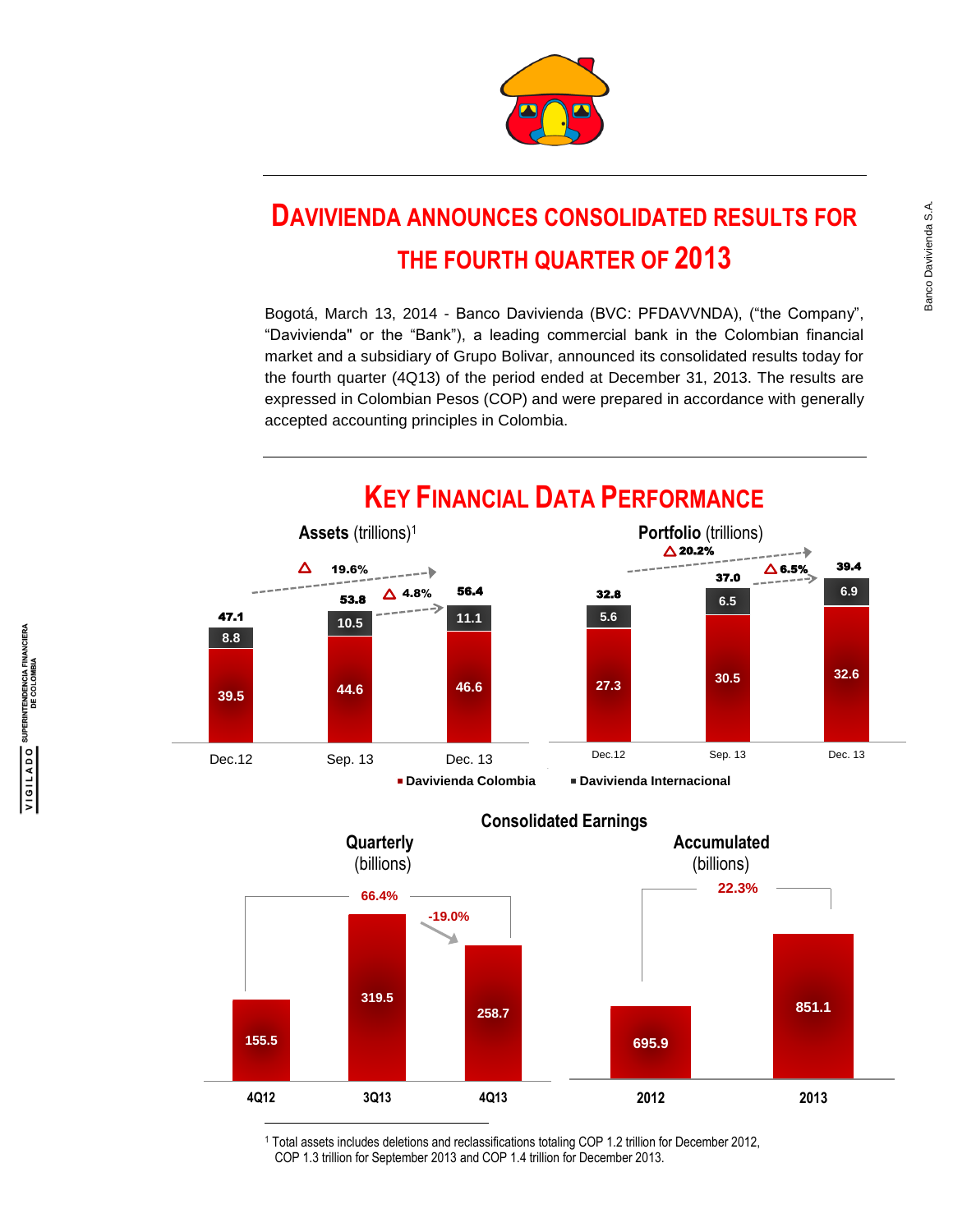

# **DAVIVIENDA ANNOUNCES CONSOLIDATED RESULTS FOR THE FOURTH QUARTER OF 2013**

Bogotá, March 13, 2014 - Banco Davivienda (BVC: PFDAVVNDA), ("the Company", "Davivienda" or the "Bank"), a leading commercial bank in the Colombian financial market and a subsidiary of Grupo Bolivar, announced its consolidated results today for the fourth quarter (4Q13) of the period ended at December 31, 2013. The results are expressed in Colombian Pesos (COP) and were prepared in accordance with generally accepted accounting principles in Colombia.



## **KEY FINANCIAL DATA PERFORMANCE**

**155.5 319.5 258.7 4Q12 3Q13 4Q13 -19.0% 66.4% 695.9 851.1 2012 2013 22.3% Consolidated Earnings Quarterly Construction Construction Accumulated**  (billions) (billions) l

<sup>1</sup> Total assets includes deletions and reclassifications totaling COP 1.2 trillion for December 2012, COP 1.3 trillion for September 2013 and COP 1.4 trillion for December 2013.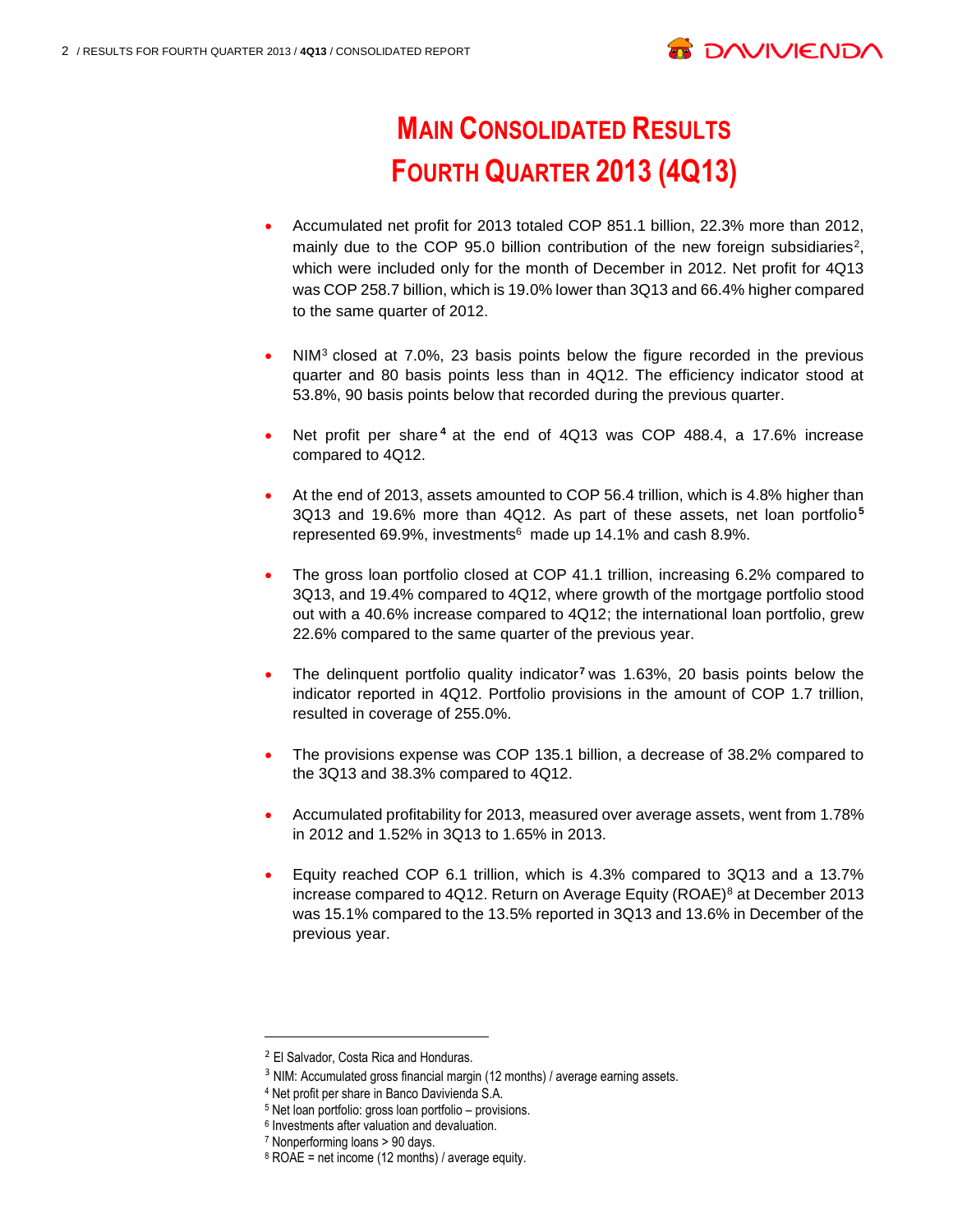

# **MAIN CONSOLIDATED RESULTS FOURTH QUARTER 2013 (4Q13)**

- Accumulated net profit for 2013 totaled COP 851.1 billion, 22.3% more than 2012, mainly due to the COP 95.0 billion contribution of the new foreign subsidiaries<sup>2</sup>, which were included only for the month of December in 2012. Net profit for 4Q13 was COP 258.7 billion, which is 19.0% lower than 3Q13 and 66.4% higher compared to the same quarter of 2012.
- NIM<sup>3</sup> closed at 7.0%, 23 basis points below the figure recorded in the previous quarter and 80 basis points less than in 4Q12. The efficiency indicator stood at 53.8%, 90 basis points below that recorded during the previous quarter.
- Net profit per share **<sup>4</sup>** at the end of 4Q13 was COP 488.4, a 17.6% increase compared to 4Q12.
- At the end of 2013, assets amounted to COP 56.4 trillion, which is 4.8% higher than 3Q13 and 19.6% more than 4Q12. As part of these assets, net loan portfolio**<sup>5</sup>** represented 69.9%, investments 6 made up 14.1% and cash 8.9%.
- The gross loan portfolio closed at COP 41.1 trillion, increasing 6.2% compared to 3Q13, and 19.4% compared to 4Q12, where growth of the mortgage portfolio stood out with a 40.6% increase compared to 4Q12; the international loan portfolio, grew 22.6% compared to the same quarter of the previous year.
- The delinquent portfolio quality indicator**<sup>7</sup>** was 1.63%, 20 basis points below the indicator reported in 4Q12. Portfolio provisions in the amount of COP 1.7 trillion, resulted in coverage of 255.0%.
- The provisions expense was COP 135.1 billion, a decrease of 38.2% compared to the 3Q13 and 38.3% compared to 4Q12.
- Accumulated profitability for 2013, measured over average assets, went from 1.78% in 2012 and 1.52% in 3Q13 to 1.65% in 2013.
- Equity reached COP 6.1 trillion, which is 4.3% compared to 3Q13 and a 13.7% increase compared to 4Q12. Return on Average Equity (ROAE)<sup>8</sup> at December 2013 was 15.1% compared to the 13.5% reported in 3Q13 and 13.6% in December of the previous year.

<sup>2</sup> El Salvador, Costa Rica and Honduras.

<sup>&</sup>lt;sup>3</sup> NIM: Accumulated gross financial margin (12 months) / average earning assets.

<sup>4</sup> Net profit per share in Banco Davivienda S.A.

<sup>5</sup> Net loan portfolio: gross loan portfolio – provisions.

<sup>6</sup> Investments after valuation and devaluation.

<sup>7</sup> Nonperforming loans > 90 days.

 $8$  ROAE = net income (12 months) / average equity.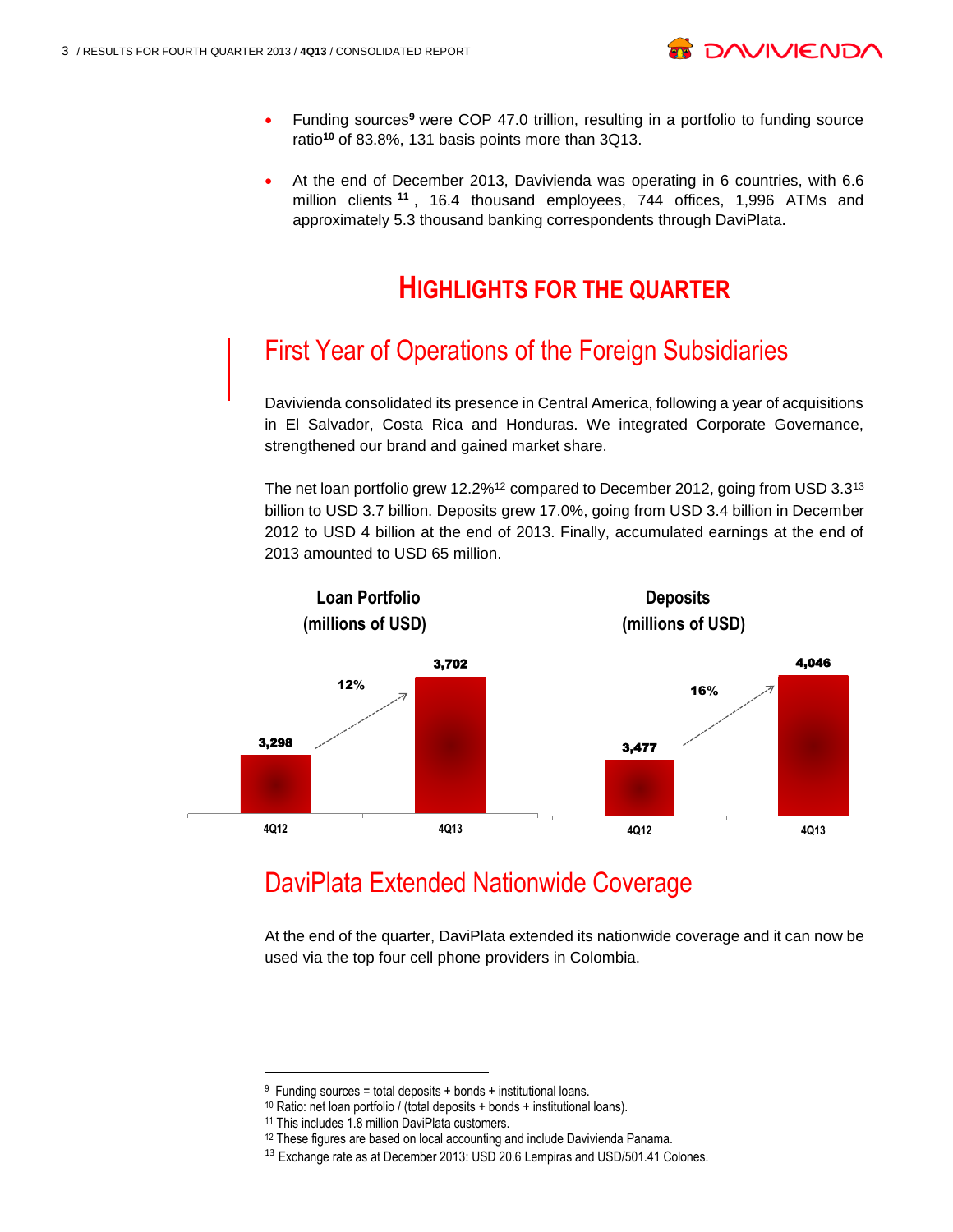

- Funding sources**<sup>9</sup>** were COP 47.0 trillion, resulting in a portfolio to funding source ratio**<sup>10</sup>** of 83.8%, 131 basis points more than 3Q13.
- At the end of December 2013, Davivienda was operating in 6 countries, with 6.6 million clients **<sup>11</sup>** , 16.4 thousand employees, 744 offices, 1,996 ATMs and approximately 5.3 thousand banking correspondents through DaviPlata.

## **HIGHLIGHTS FOR THE QUARTER**

## First Year of Operations of the Foreign Subsidiaries

Davivienda consolidated its presence in Central America, following a year of acquisitions in El Salvador, Costa Rica and Honduras. We integrated Corporate Governance, strengthened our brand and gained market share.

The net loan portfolio grew 12.2%<sup>12</sup> compared to December 2012, going from USD 3.3<sup>13</sup> billion to USD 3.7 billion. Deposits grew 17.0%, going from USD 3.4 billion in December 2012 to USD 4 billion at the end of 2013. Finally, accumulated earnings at the end of 2013 amounted to USD 65 million.



## DaviPlata Extended Nationwide Coverage

At the end of the quarter, DaviPlata extended its nationwide coverage and it can now be used via the top four cell phone providers in Colombia.

<sup>9</sup> Funding sources = total deposits + bonds + institutional loans.

<sup>10</sup> Ratio: net loan portfolio / (total deposits + bonds + institutional loans).

<sup>11</sup> This includes 1.8 million DaviPlata customers.

<sup>&</sup>lt;sup>12</sup> These figures are based on local accounting and include Davivienda Panama.

<sup>&</sup>lt;sup>13</sup> Exchange rate as at December 2013: USD 20.6 Lempiras and USD/501.41 Colones.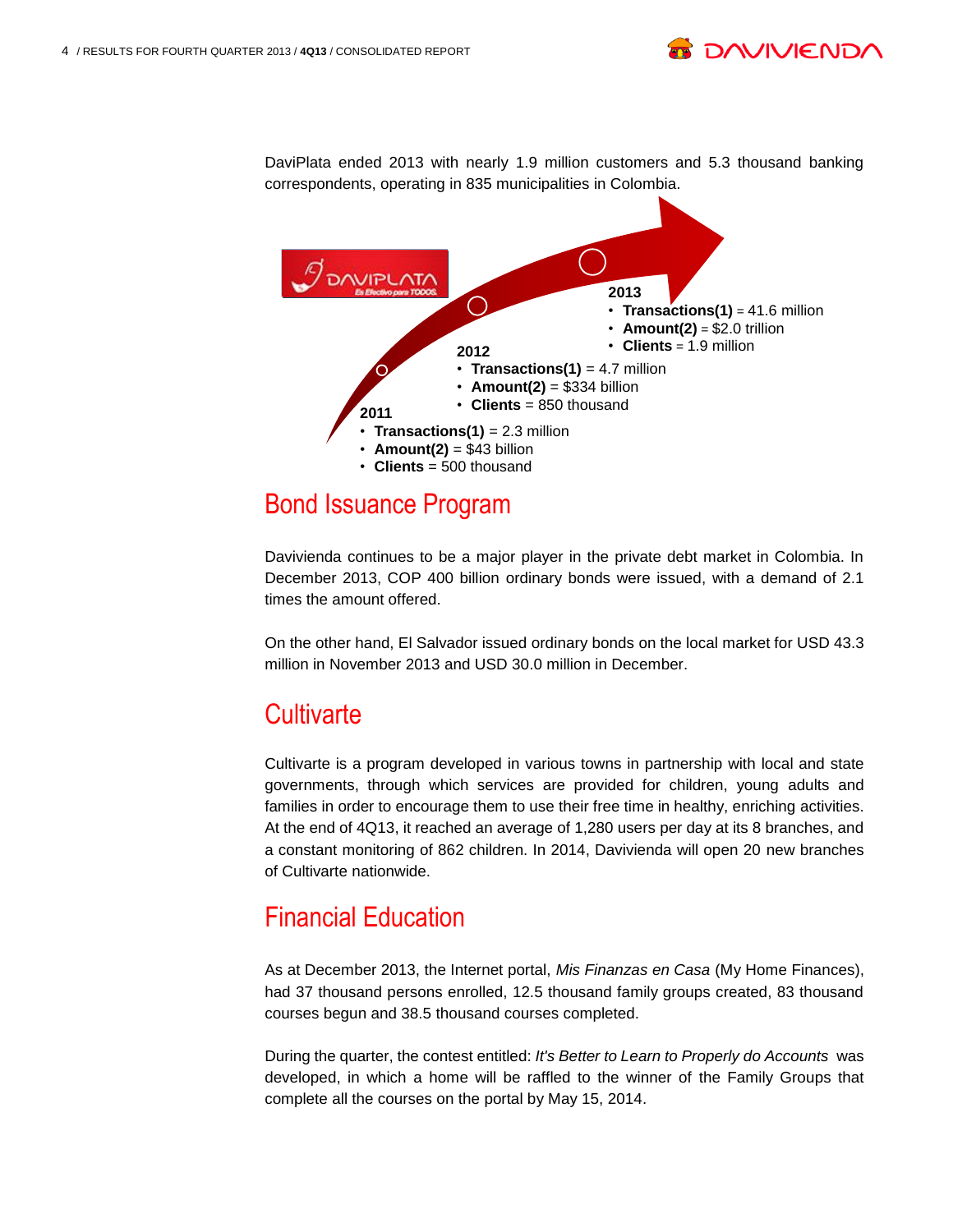**DAVIPLATA 2013**   $(\ )$ • **Transactions(1)** = 41.6 million • **Amount(2)** =  $$2.0$  trillion • **Clients** = 1.9 million **2012**  • **Transactions(1)** = 4.7 million  $\cdot$  **Amount(2)** = \$334 billion • **Clients** = 850 thousand **2011** • **Transactions(1)** = 2.3 million  $\cdot$  **Amount(2)** = \$43 billion • **Clients** = 500 thousand

DaviPlata ended 2013 with nearly 1.9 million customers and 5.3 thousand banking correspondents, operating in 835 municipalities in Colombia.

### Bond Issuance Program

Davivienda continues to be a major player in the private debt market in Colombia. In December 2013, COP 400 billion ordinary bonds were issued, with a demand of 2.1 times the amount offered.

On the other hand, El Salvador issued ordinary bonds on the local market for USD 43.3 million in November 2013 and USD 30.0 million in December.

## **Cultivarte**

Cultivarte is a program developed in various towns in partnership with local and state governments, through which services are provided for children, young adults and families in order to encourage them to use their free time in healthy, enriching activities. At the end of 4Q13, it reached an average of 1,280 users per day at its 8 branches, and a constant monitoring of 862 children. In 2014, Davivienda will open 20 new branches of Cultivarte nationwide.

## Financial Education

As at December 2013, the Internet portal, *Mis Finanzas en Casa* (My Home Finances), had 37 thousand persons enrolled, 12.5 thousand family groups created, 83 thousand courses begun and 38.5 thousand courses completed.

During the quarter, the contest entitled: *It's Better to Learn to Properly do Accounts* was developed, in which a home will be raffled to the winner of the Family Groups that complete all the courses on the portal by May 15, 2014.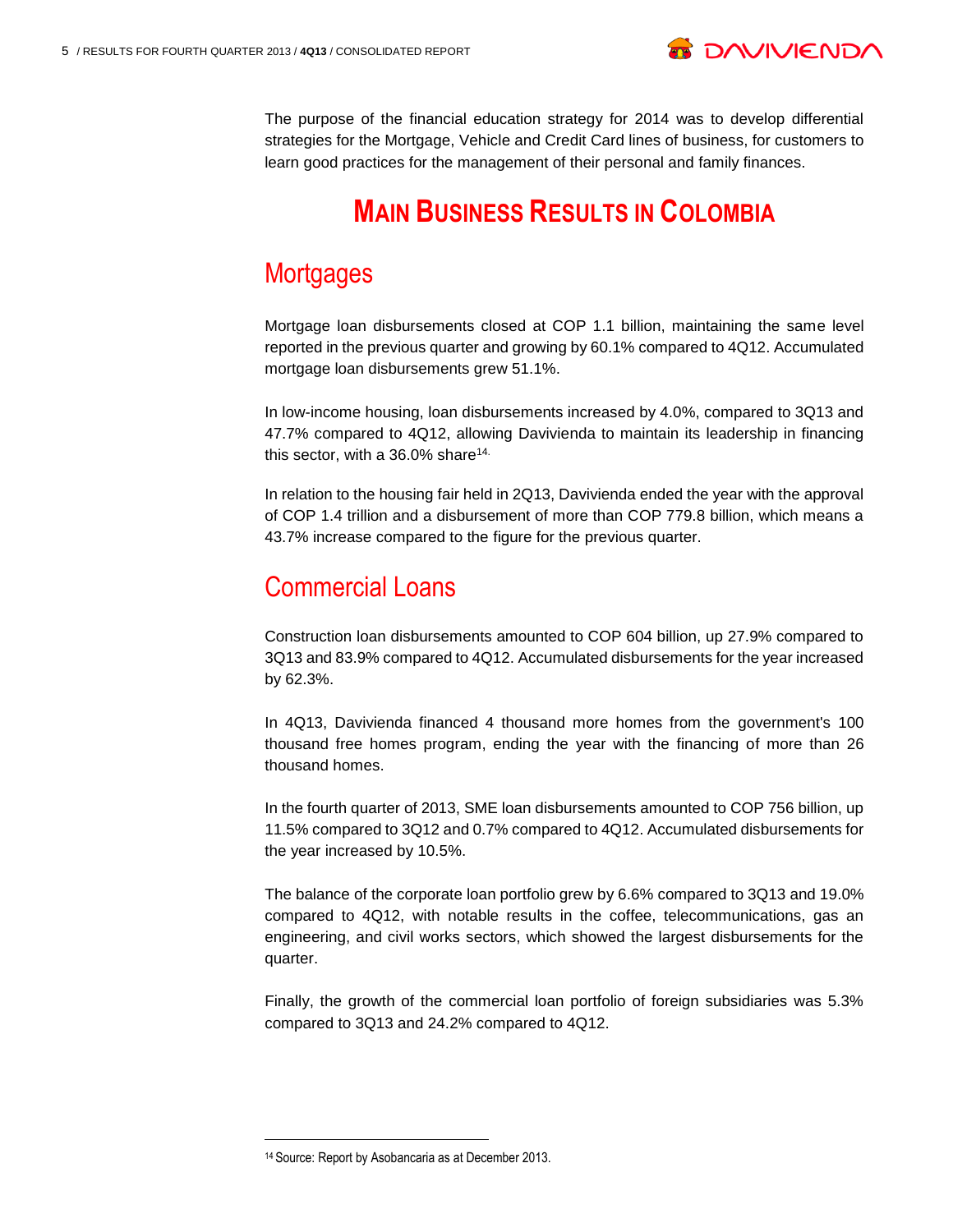

The purpose of the financial education strategy for 2014 was to develop differential strategies for the Mortgage, Vehicle and Credit Card lines of business, for customers to learn good practices for the management of their personal and family finances.

## **MAIN BUSINESS RESULTS IN COLOMBIA**

## **Mortgages**

Mortgage loan disbursements closed at COP 1.1 billion, maintaining the same level reported in the previous quarter and growing by 60.1% compared to 4Q12. Accumulated mortgage loan disbursements grew 51.1%.

In low-income housing, loan disbursements increased by 4.0%, compared to 3Q13 and 47.7% compared to 4Q12, allowing Davivienda to maintain its leadership in financing this sector, with a  $36.0\%$  share<sup>14.</sup>

In relation to the housing fair held in 2Q13, Davivienda ended the year with the approval of COP 1.4 trillion and a disbursement of more than COP 779.8 billion, which means a 43.7% increase compared to the figure for the previous quarter.

### Commercial Loans

Construction loan disbursements amounted to COP 604 billion, up 27.9% compared to 3Q13 and 83.9% compared to 4Q12. Accumulated disbursements for the year increased by 62.3%.

In 4Q13, Davivienda financed 4 thousand more homes from the government's 100 thousand free homes program, ending the year with the financing of more than 26 thousand homes.

In the fourth quarter of 2013, SME loan disbursements amounted to COP 756 billion, up 11.5% compared to 3Q12 and 0.7% compared to 4Q12. Accumulated disbursements for the year increased by 10.5%.

The balance of the corporate loan portfolio grew by 6.6% compared to 3Q13 and 19.0% compared to 4Q12, with notable results in the coffee, telecommunications, gas an engineering, and civil works sectors, which showed the largest disbursements for the quarter.

Finally, the growth of the commercial loan portfolio of foreign subsidiaries was 5.3% compared to 3Q13 and 24.2% compared to 4Q12.

<sup>14</sup> Source: Report by Asobancaria as at December 2013.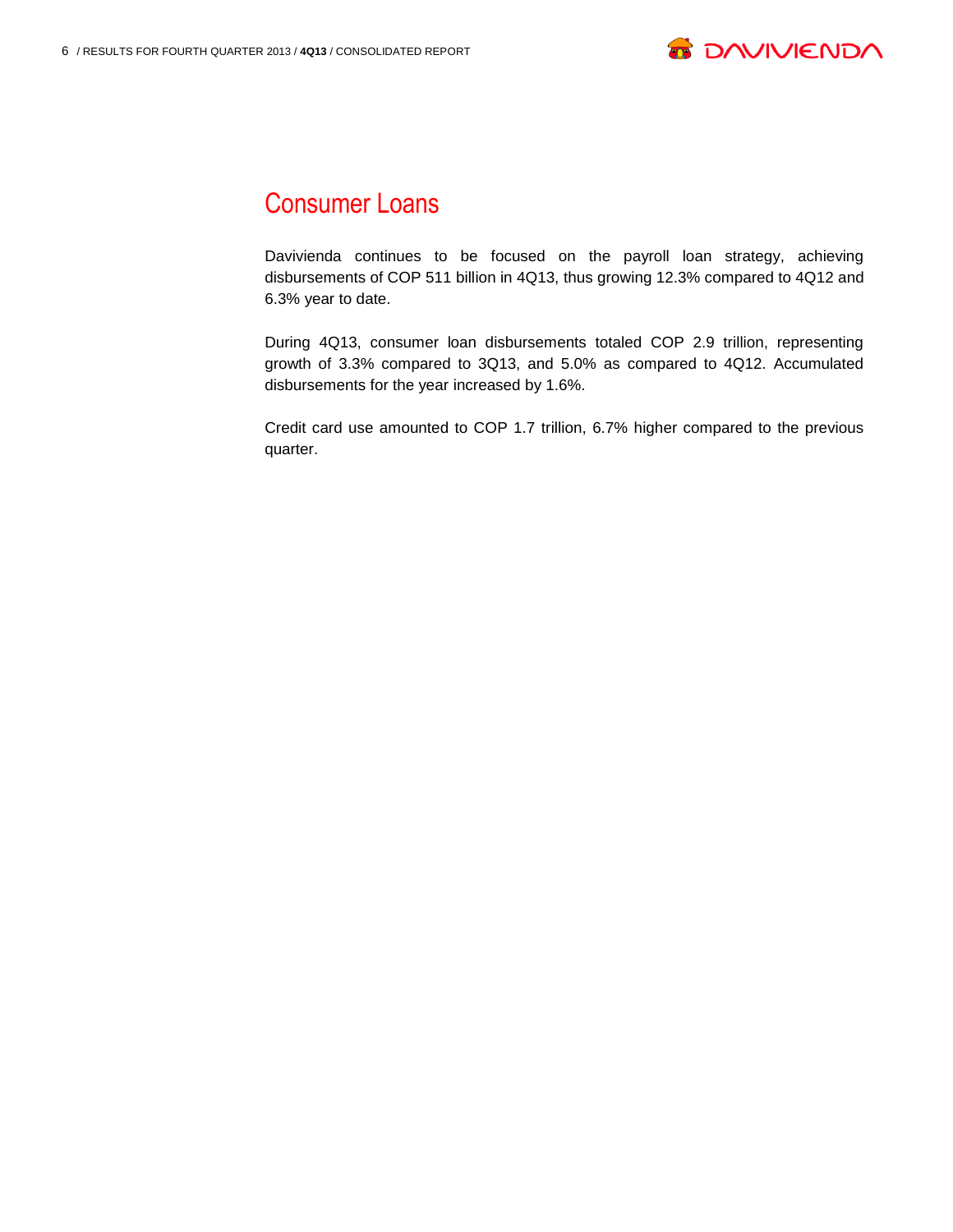

### Consumer Loans

Davivienda continues to be focused on the payroll loan strategy, achieving disbursements of COP 511 billion in 4Q13, thus growing 12.3% compared to 4Q12 and 6.3% year to date.

During 4Q13, consumer loan disbursements totaled COP 2.9 trillion, representing growth of 3.3% compared to 3Q13, and 5.0% as compared to 4Q12. Accumulated disbursements for the year increased by 1.6%.

Credit card use amounted to COP 1.7 trillion, 6.7% higher compared to the previous quarter.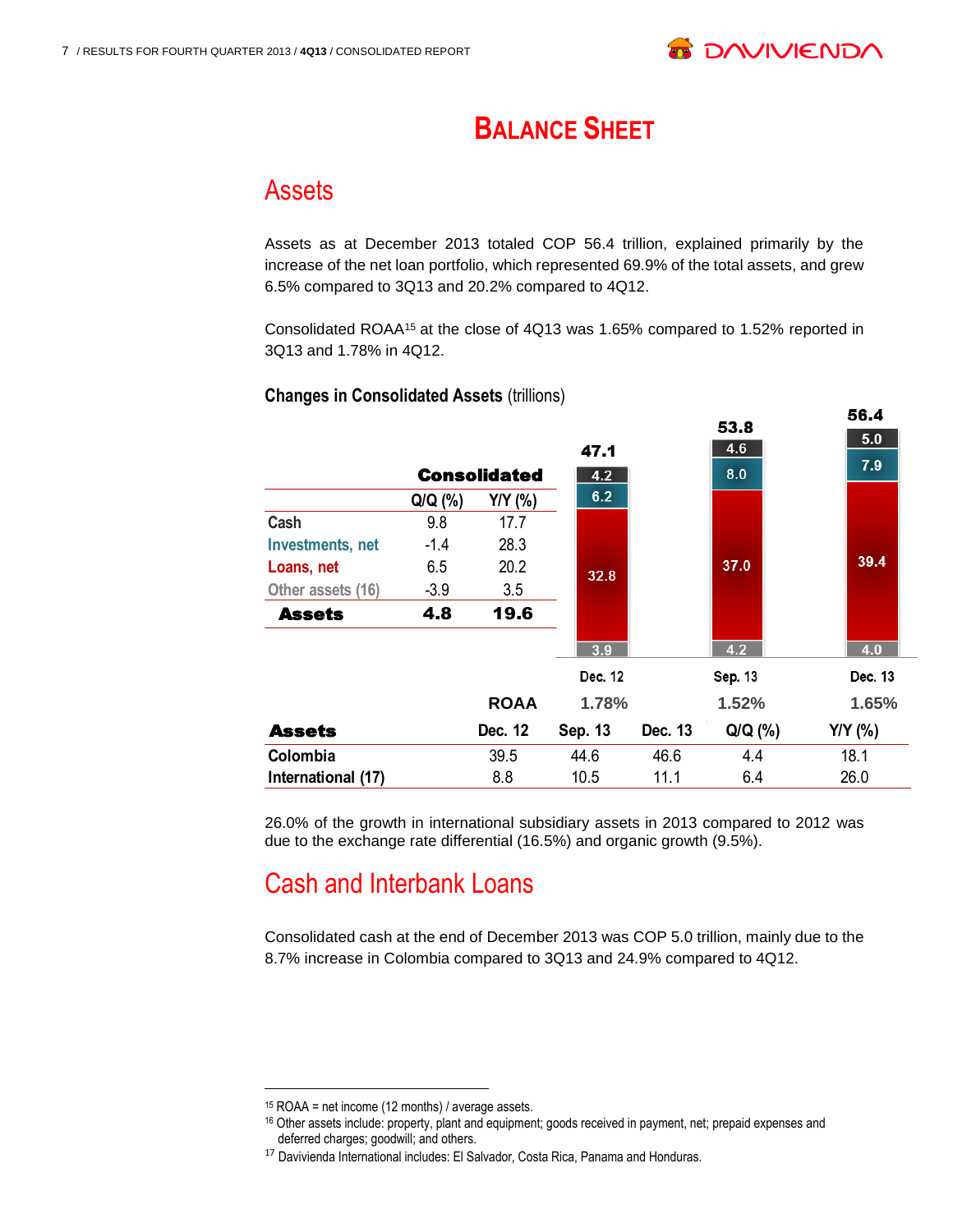

56.4

## **BALANCE SHEET**

#### Assets

Assets as at December 2013 totaled COP 56.4 trillion, explained primarily by the increase of the net loan portfolio, which represented 69.9% of the total assets, and grew 6.5% compared to 3Q13 and 20.2% compared to 4Q12.

Consolidated ROAA<sup>15</sup> at the close of 4Q13 was 1.65% compared to 1.52% reported in 3Q13 and 1.78% in 4Q12.

|                         |           |                     |         |         | 53.8    | JU.T      |
|-------------------------|-----------|---------------------|---------|---------|---------|-----------|
|                         |           |                     | 47.1    |         | 4.6     | 5.0       |
|                         |           | <b>Consolidated</b> | 4.2     |         | 8.0     | 7.9       |
|                         | $Q/Q$ (%) | $Y/Y$ (%)           | 6.2     |         |         |           |
| Cash                    | 9.8       | 17.7                |         |         |         |           |
| <b>Investments, net</b> | $-1.4$    | 28.3                |         |         |         |           |
| Loans, net              | 6.5       | 20.2                | 32.8    |         | 37.0    | 39.4      |
| Other assets (16)       | $-3.9$    | 3.5                 |         |         |         |           |
| <b>Assets</b>           | 4.8       | 19.6                |         |         |         |           |
|                         |           |                     | 3.9     |         | 4.2     | 4.0       |
|                         |           |                     | Dec. 12 |         | Sep. 13 | Dec. 13   |
|                         |           | <b>ROAA</b>         | 1.78%   |         | 1.52%   | 1.65%     |
| <b>Assets</b>           |           | Dec. 12             | Sep. 13 | Dec. 13 | Q/Q (%) | $Y/Y$ (%) |
| Colombia                |           | 39.5                | 44.6    | 46.6    | 4.4     | 18.1      |
| International (17)      |           | 8.8                 | 10.5    | 11.1    | 6.4     | 26.0      |

#### **Changes in Consolidated Assets (trillions)**

26.0% of the growth in international subsidiary assets in 2013 compared to 2012 was due to the exchange rate differential (16.5%) and organic growth (9.5%).

## Cash and Interbank Loans

Consolidated cash at the end of December 2013 was COP 5.0 trillion, mainly due to the 8.7% increase in Colombia compared to 3Q13 and 24.9% compared to 4Q12.

<sup>15</sup> ROAA = net income (12 months) / average assets.

<sup>16</sup> Other assets include: property, plant and equipment; goods received in payment, net; prepaid expenses and deferred charges; goodwill; and others.

<sup>17</sup> Davivienda International includes: El Salvador, Costa Rica, Panama and Honduras.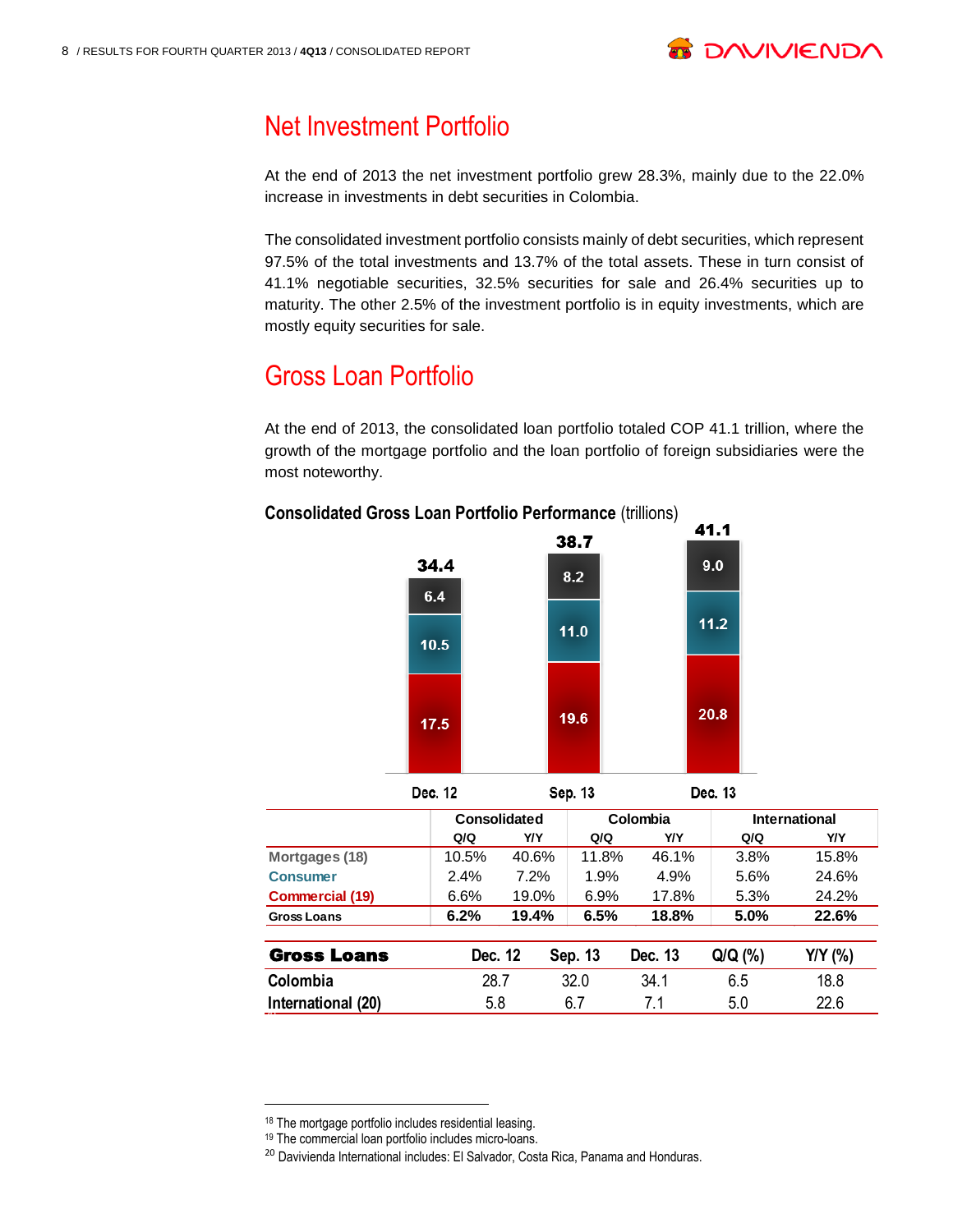

## Net Investment Portfolio

At the end of 2013 the net investment portfolio grew 28.3%, mainly due to the 22.0% increase in investments in debt securities in Colombia.

The consolidated investment portfolio consists mainly of debt securities, which represent 97.5% of the total investments and 13.7% of the total assets. These in turn consist of 41.1% negotiable securities, 32.5% securities for sale and 26.4% securities up to maturity. The other 2.5% of the investment portfolio is in equity investments, which are mostly equity securities for sale.

## Gross Loan Portfolio

At the end of 2013, the consolidated loan portfolio totaled COP 41.1 trillion, where the growth of the mortgage portfolio and the loan portfolio of foreign subsidiaries were the most noteworthy.

## **Consolidated Gross Loan Portfolio Performance (trillions)**<br>11.19



|                        |         | Consolidated |         | Colombia   |           | International |
|------------------------|---------|--------------|---------|------------|-----------|---------------|
|                        | Q/Q     | <b>Y/Y</b>   | Q/Q     | <b>Y/Y</b> | Q/Q       | Y/Y           |
| Mortgages (18)         | 10.5%   | 40.6%        | 11.8%   | 46.1%      | 3.8%      | 15.8%         |
| <b>Consumer</b>        | 2.4%    | 7.2%         | 1.9%    | 4.9%       | 5.6%      | 24.6%         |
| <b>Commercial (19)</b> | 6.6%    | 19.0%        | 6.9%    | 17.8%      | 5.3%      | 24.2%         |
| <b>Gross Loans</b>     | 6.2%    | 19.4%        | 6.5%    | 18.8%      | 5.0%      | 22.6%         |
| <b>Gross Loans</b>     | Dec. 12 |              | Sep. 13 | Dec. 13    | $Q/Q$ (%) | Y/Y (%)       |
| Colombia               |         | 32.0<br>28.7 |         | 34.1       | 6.5       | 18.8          |
| International (20)     |         | 6.7<br>5.8   |         | 7.1        | 5.0       | 22.6          |

l

<sup>18</sup> The mortgage portfolio includes residential leasing.

<sup>19</sup> The commercial loan portfolio includes micro-loans.

<sup>&</sup>lt;sup>20</sup> Davivienda International includes: El Salvador, Costa Rica, Panama and Honduras.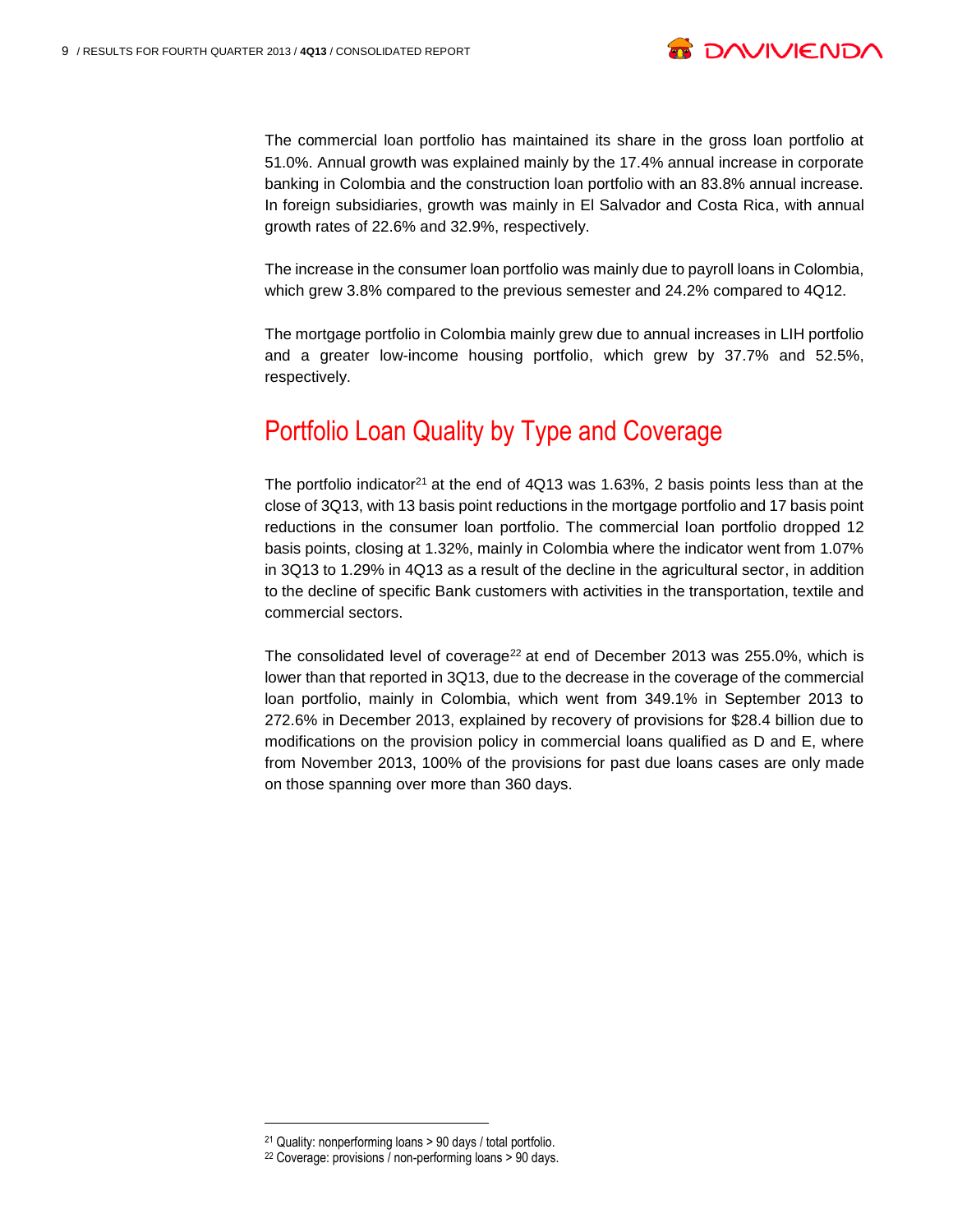

The commercial loan portfolio has maintained its share in the gross loan portfolio at 51.0%. Annual growth was explained mainly by the 17.4% annual increase in corporate banking in Colombia and the construction loan portfolio with an 83.8% annual increase. In foreign subsidiaries, growth was mainly in El Salvador and Costa Rica, with annual growth rates of 22.6% and 32.9%, respectively.

The increase in the consumer loan portfolio was mainly due to payroll loans in Colombia, which grew 3.8% compared to the previous semester and 24.2% compared to 4Q12.

The mortgage portfolio in Colombia mainly grew due to annual increases in LIH portfolio and a greater low-income housing portfolio, which grew by 37.7% and 52.5%, respectively.

## Portfolio Loan Quality by Type and Coverage

The portfolio indicator<sup>21</sup> at the end of  $4Q13$  was 1.63%, 2 basis points less than at the close of 3Q13, with 13 basis point reductions in the mortgage portfolio and 17 basis point reductions in the consumer loan portfolio. The commercial loan portfolio dropped 12 basis points, closing at 1.32%, mainly in Colombia where the indicator went from 1.07% in 3Q13 to 1.29% in 4Q13 as a result of the decline in the agricultural sector, in addition to the decline of specific Bank customers with activities in the transportation, textile and commercial sectors.

The consolidated level of coverage<sup>22</sup> at end of December 2013 was 255.0%, which is lower than that reported in 3Q13, due to the decrease in the coverage of the commercial loan portfolio, mainly in Colombia, which went from 349.1% in September 2013 to 272.6% in December 2013, explained by recovery of provisions for \$28.4 billion due to modifications on the provision policy in commercial loans qualified as D and E, where from November 2013, 100% of the provisions for past due loans cases are only made on those spanning over more than 360 days.

l

<sup>21</sup> Quality: nonperforming loans > 90 days / total portfolio.

<sup>22</sup> Coverage: provisions / non-performing loans > 90 days.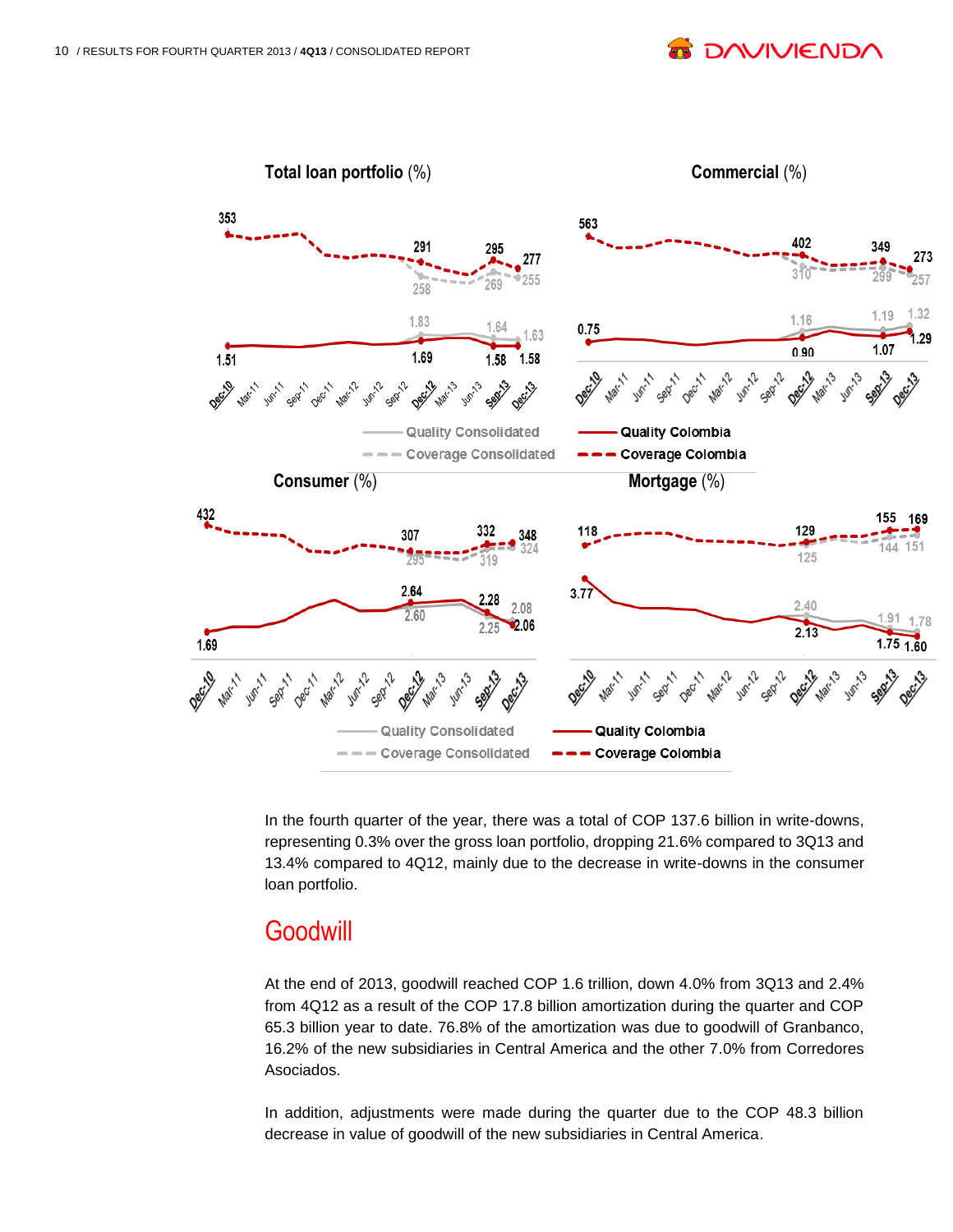**DAVIVIEND** 



In the fourth quarter of the year, there was a total of COP 137.6 billion in write-downs, representing 0.3% over the gross loan portfolio, dropping 21.6% compared to 3Q13 and 13.4% compared to 4Q12, mainly due to the decrease in write-downs in the consumer loan portfolio.

#### **Goodwill**

At the end of 2013, goodwill reached COP 1.6 trillion, down 4.0% from 3Q13 and 2.4% from 4Q12 as a result of the COP 17.8 billion amortization during the quarter and COP 65.3 billion year to date. 76.8% of the amortization was due to goodwill of Granbanco, 16.2% of the new subsidiaries in Central America and the other 7.0% from Corredores Asociados.

In addition, adjustments were made during the quarter due to the COP 48.3 billion decrease in value of goodwill of the new subsidiaries in Central America.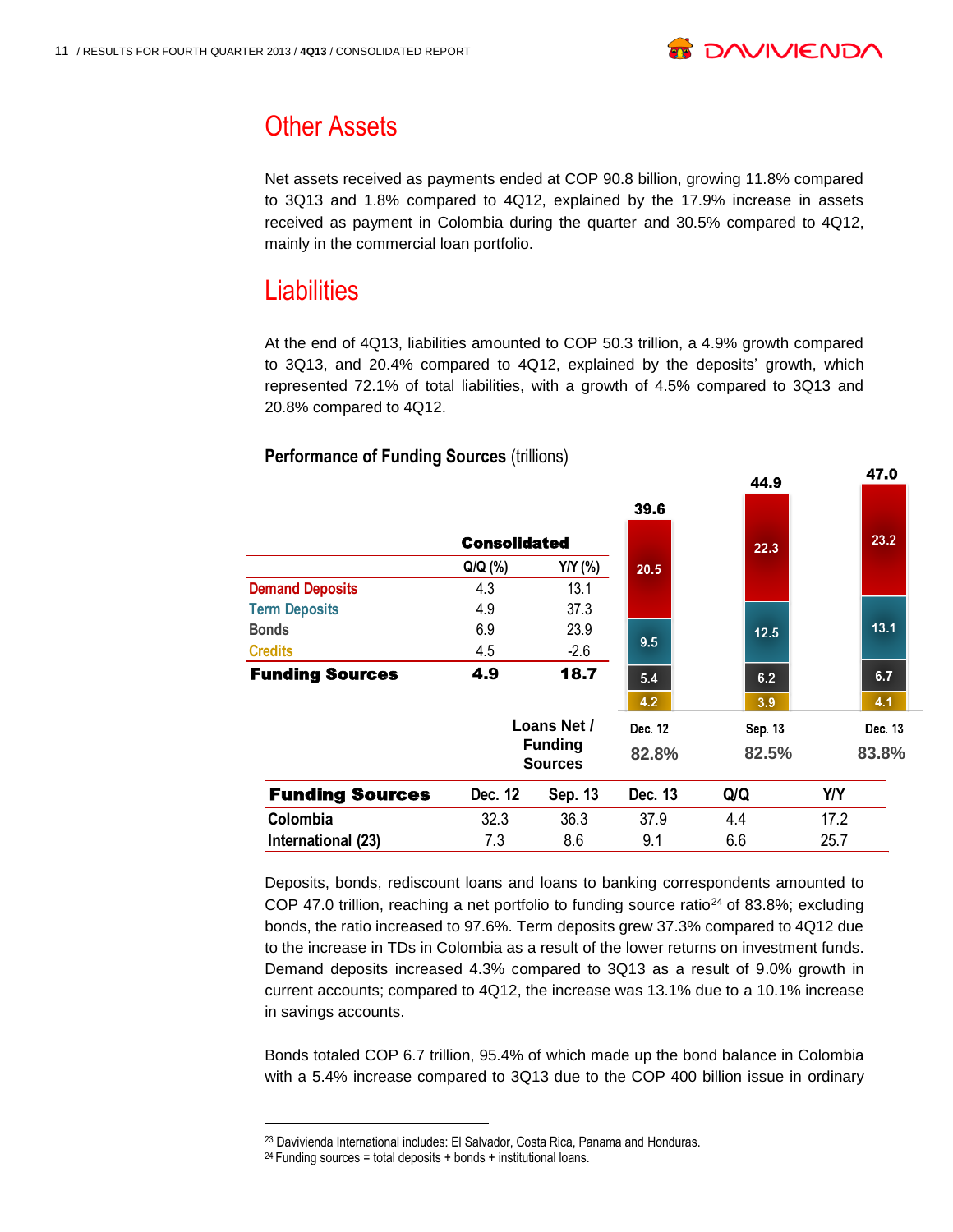

47.0

## Other Assets

Net assets received as payments ended at COP 90.8 billion, growing 11.8% compared to 3Q13 and 1.8% compared to 4Q12, explained by the 17.9% increase in assets received as payment in Colombia during the quarter and 30.5% compared to 4Q12, mainly in the commercial loan portfolio.

### **Liabilities**

At the end of 4Q13, liabilities amounted to COP 50.3 trillion, a 4.9% growth compared to 3Q13, and 20.4% compared to 4Q12, explained by the deposits' growth, which represented 72.1% of total liabilities, with a growth of 4.5% compared to 3Q13 and 20.8% compared to 4Q12.

|                        |                     |                                  |         | 44.9    | 47.V       |  |
|------------------------|---------------------|----------------------------------|---------|---------|------------|--|
|                        |                     |                                  | 39.6    |         |            |  |
|                        | <b>Consolidated</b> |                                  |         | 22.3    | 23.2       |  |
|                        | $Q/Q$ (%)           | Y/Y (%)                          | 20.5    |         |            |  |
| <b>Demand Deposits</b> | 4.3                 | 13.1                             |         |         |            |  |
| <b>Term Deposits</b>   | 4.9                 | 37.3                             |         |         |            |  |
| Bonds                  | 6.9                 | 23.9                             |         | 12.5    | 13.1       |  |
| <b>Credits</b>         | 4.5                 | $-2.6$                           | 9.5     |         |            |  |
| <b>Funding Sources</b> | 4.9                 | 18.7                             | 5.4     | 6.2     | 6.7        |  |
|                        |                     |                                  | 4.2     | 3.9     | 4.1        |  |
|                        |                     | Loans Net /                      | Dec. 12 | Sep. 13 | Dec. 13    |  |
|                        |                     | <b>Funding</b><br><b>Sources</b> | 82.8%   | 82.5%   | 83.8%      |  |
| <b>Funding Sources</b> | Dec. 12             | Sep. 13                          | Dec. 13 | Q/Q     | <b>Y/Y</b> |  |
| Colombia               | 32.3                | 36.3                             | 37.9    | 4.4     | 17.2       |  |
| International (23)     | 7.3                 | 8.6                              | 9.1     | 6.6     | 25.7       |  |
|                        |                     |                                  |         |         |            |  |

#### **Performance of Funding Sources (trillions)**

Deposits, bonds, rediscount loans and loans to banking correspondents amounted to COP 47.0 trillion, reaching a net portfolio to funding source ratio<sup>24</sup> of 83.8%; excluding bonds, the ratio increased to 97.6%. Term deposits grew 37.3% compared to 4Q12 due to the increase in TDs in Colombia as a result of the lower returns on investment funds. Demand deposits increased 4.3% compared to 3Q13 as a result of 9.0% growth in current accounts; compared to 4Q12, the increase was 13.1% due to a 10.1% increase in savings accounts.

Bonds totaled COP 6.7 trillion, 95.4% of which made up the bond balance in Colombia with a 5.4% increase compared to 3Q13 due to the COP 400 billion issue in ordinary

l

<sup>23</sup> Davivienda International includes: El Salvador, Costa Rica, Panama and Honduras.

<sup>&</sup>lt;sup>24</sup> Funding sources = total deposits + bonds + institutional loans.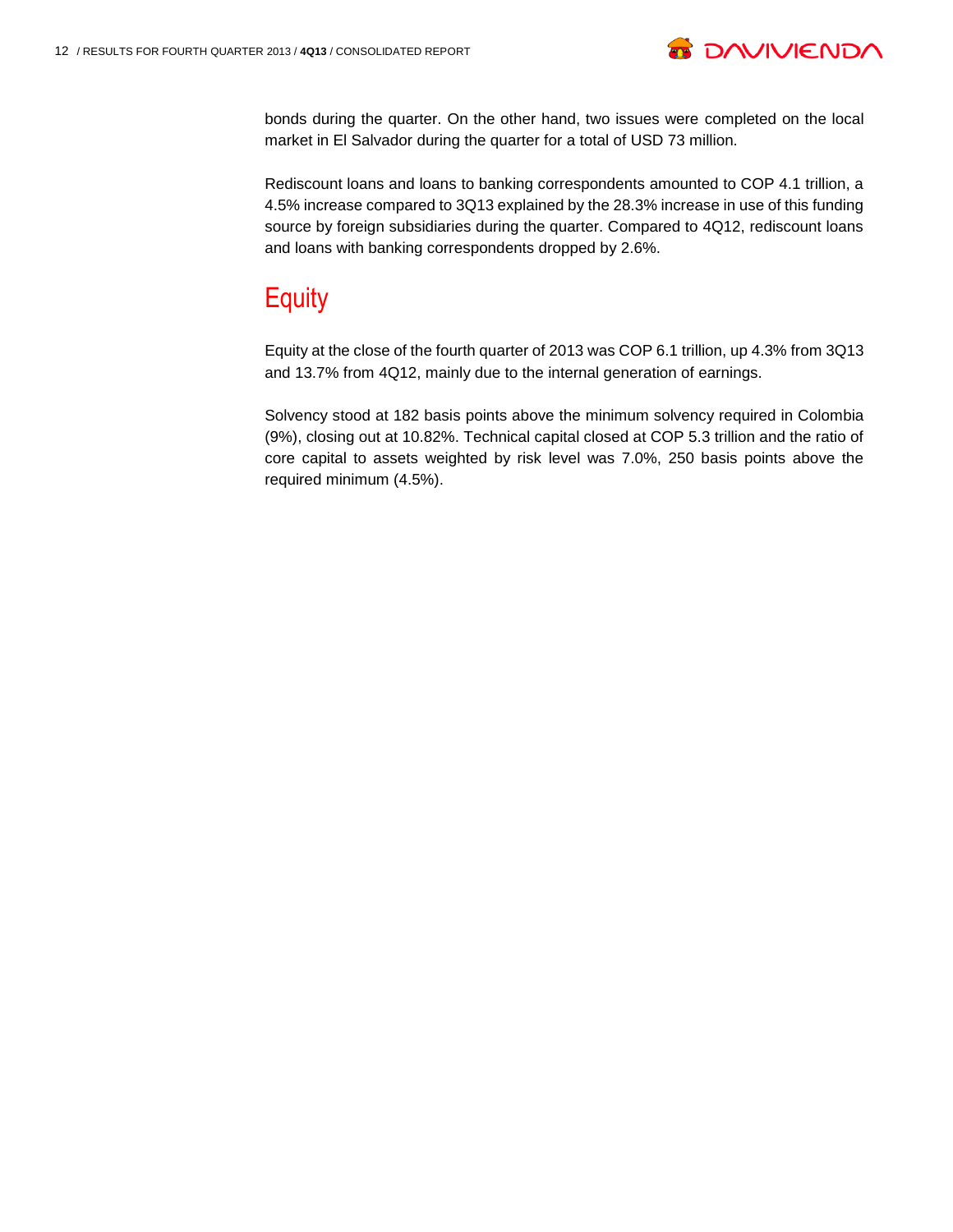

bonds during the quarter. On the other hand, two issues were completed on the local market in El Salvador during the quarter for a total of USD 73 million.

Rediscount loans and loans to banking correspondents amounted to COP 4.1 trillion, a 4.5% increase compared to 3Q13 explained by the 28.3% increase in use of this funding source by foreign subsidiaries during the quarter. Compared to 4Q12, rediscount loans and loans with banking correspondents dropped by 2.6%.

## **Equity**

Equity at the close of the fourth quarter of 2013 was COP 6.1 trillion, up 4.3% from 3Q13 and 13.7% from 4Q12, mainly due to the internal generation of earnings.

Solvency stood at 182 basis points above the minimum solvency required in Colombia (9%), closing out at 10.82%. Technical capital closed at COP 5.3 trillion and the ratio of core capital to assets weighted by risk level was 7.0%, 250 basis points above the required minimum (4.5%).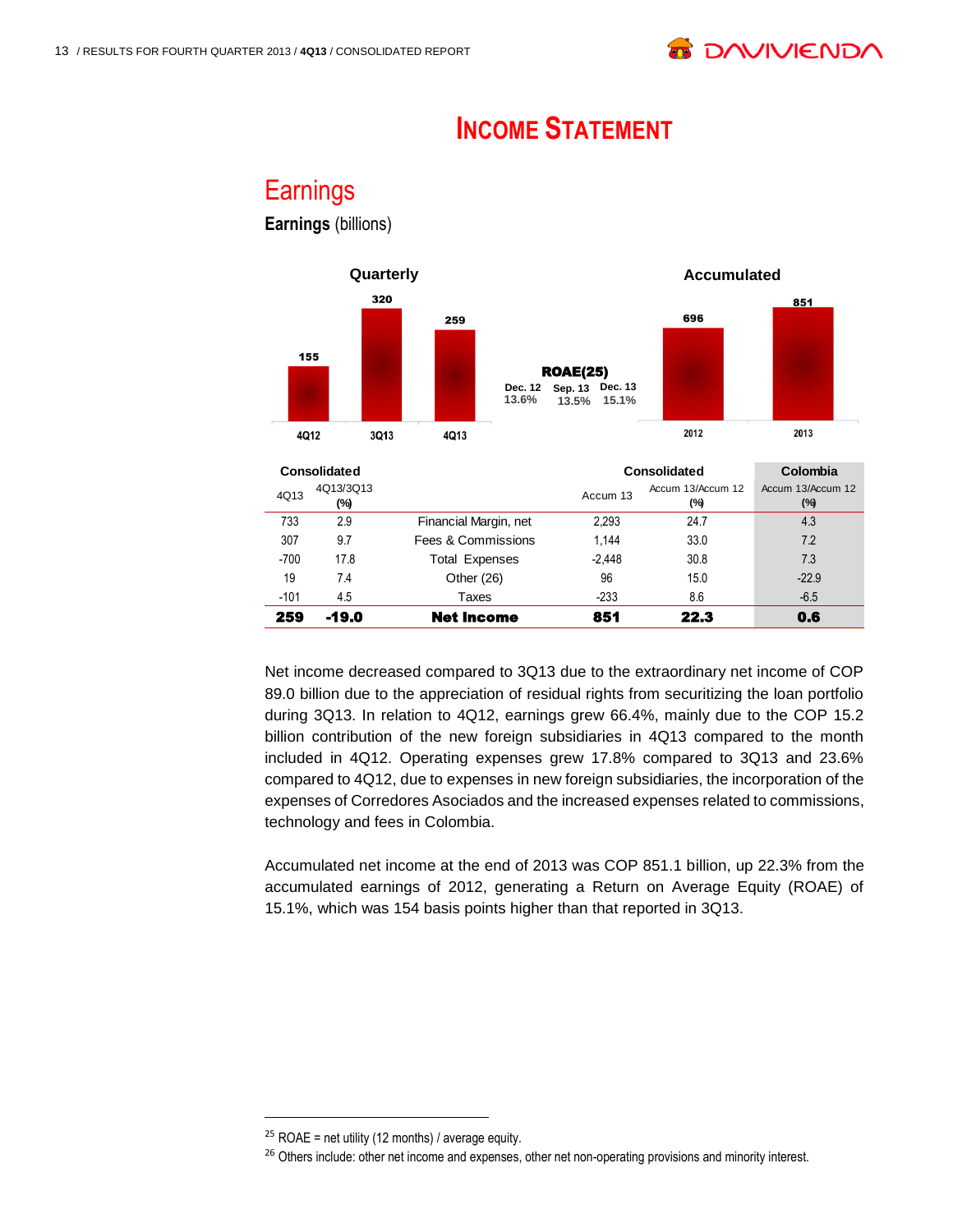## **INCOME STATEMENT**

#### **Earnings Earnings** (billions)



|        | Consolidated     |                       | Consolidated |                          |                             |  |  |
|--------|------------------|-----------------------|--------------|--------------------------|-----------------------------|--|--|
| 4Q13   | 4Q13/3Q13<br>(%) |                       | Accum 13     | Accum 13/Accum 12<br>(%) | Accum 13/Accum 12<br>$(\%)$ |  |  |
| 733    | 2.9              | Financial Margin, net | 2,293        | 24.7                     | 4.3                         |  |  |
| 307    | 9.7              | Fees & Commissions    | 1.144        | 33.0                     | 7.2                         |  |  |
| $-700$ | 17.8             | <b>Total Expenses</b> | $-2.448$     | 30.8                     | 7.3                         |  |  |
| 19     | 7.4              | Other $(26)$          | 96           | 15.0                     | $-22.9$                     |  |  |
| $-101$ | 4.5              | Taxes                 | $-233$       | 8.6                      | $-6.5$                      |  |  |
| 259    | -19.0            | Net Income            | 851          | 22.3                     | 0.6                         |  |  |

Net income decreased compared to 3Q13 due to the extraordinary net income of COP 89.0 billion due to the appreciation of residual rights from securitizing the loan portfolio during 3Q13. In relation to 4Q12, earnings grew 66.4%, mainly due to the COP 15.2 billion contribution of the new foreign subsidiaries in 4Q13 compared to the month included in 4Q12. Operating expenses grew 17.8% compared to 3Q13 and 23.6% compared to 4Q12, due to expenses in new foreign subsidiaries, the incorporation of the expenses of Corredores Asociados and the increased expenses related to commissions, technology and fees in Colombia.

Accumulated net income at the end of 2013 was COP 851.1 billion, up 22.3% from the accumulated earnings of 2012, generating a Return on Average Equity (ROAE) of 15.1%, which was 154 basis points higher than that reported in 3Q13.

l

 $25$  ROAE = net utility (12 months) / average equity.

<sup>&</sup>lt;sup>26</sup> Others include: other net income and expenses, other net non-operating provisions and minority interest.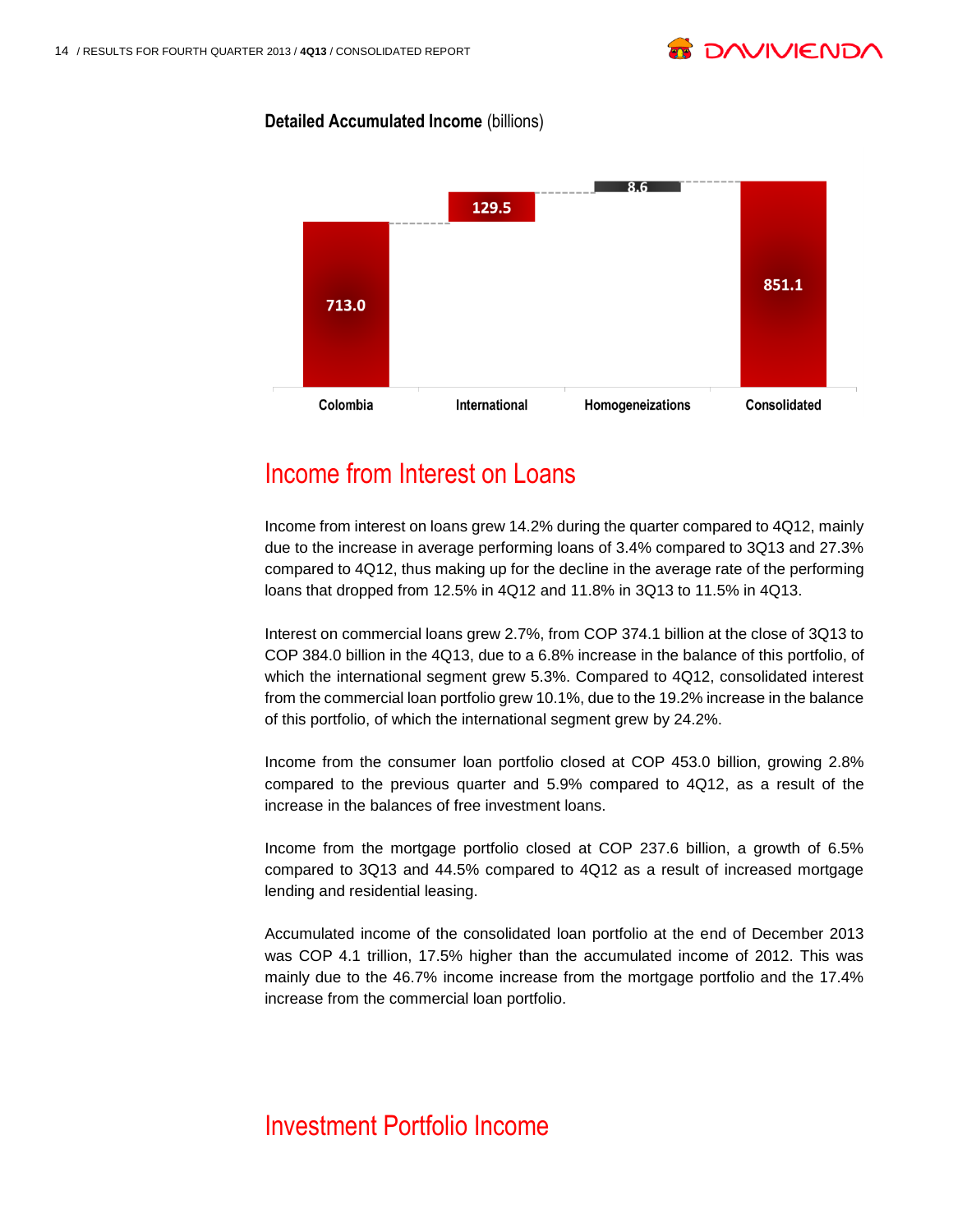

#### **Detailed Accumulated Income** (billions)



## Income from Interest on Loans

Income from interest on loans grew 14.2% during the quarter compared to 4Q12, mainly due to the increase in average performing loans of 3.4% compared to 3Q13 and 27.3% compared to 4Q12, thus making up for the decline in the average rate of the performing loans that dropped from 12.5% in 4Q12 and 11.8% in 3Q13 to 11.5% in 4Q13.

Interest on commercial loans grew 2.7%, from COP 374.1 billion at the close of 3Q13 to COP 384.0 billion in the 4Q13, due to a 6.8% increase in the balance of this portfolio, of which the international segment grew 5.3%. Compared to 4Q12, consolidated interest from the commercial loan portfolio grew 10.1%, due to the 19.2% increase in the balance of this portfolio, of which the international segment grew by 24.2%.

Income from the consumer loan portfolio closed at COP 453.0 billion, growing 2.8% compared to the previous quarter and 5.9% compared to 4Q12, as a result of the increase in the balances of free investment loans.

Income from the mortgage portfolio closed at COP 237.6 billion, a growth of 6.5% compared to 3Q13 and 44.5% compared to 4Q12 as a result of increased mortgage lending and residential leasing.

Accumulated income of the consolidated loan portfolio at the end of December 2013 was COP 4.1 trillion, 17.5% higher than the accumulated income of 2012. This was mainly due to the 46.7% income increase from the mortgage portfolio and the 17.4% increase from the commercial loan portfolio.

## Investment Portfolio Income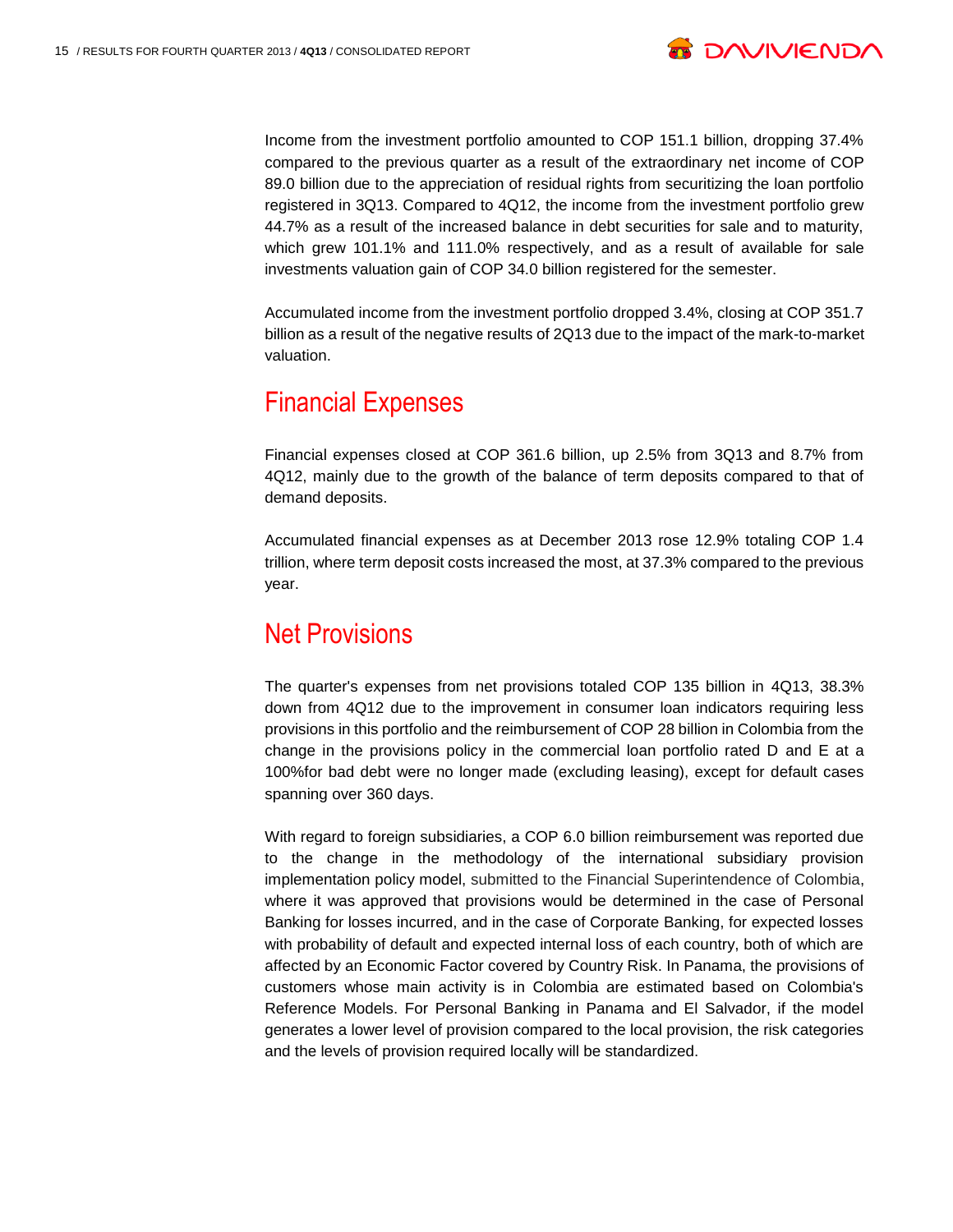

Income from the investment portfolio amounted to COP 151.1 billion, dropping 37.4% compared to the previous quarter as a result of the extraordinary net income of COP 89.0 billion due to the appreciation of residual rights from securitizing the loan portfolio registered in 3Q13. Compared to 4Q12, the income from the investment portfolio grew 44.7% as a result of the increased balance in debt securities for sale and to maturity, which grew 101.1% and 111.0% respectively, and as a result of available for sale investments valuation gain of COP 34.0 billion registered for the semester.

Accumulated income from the investment portfolio dropped 3.4%, closing at COP 351.7 billion as a result of the negative results of 2Q13 due to the impact of the mark-to-market valuation.

#### Financial Expenses

Financial expenses closed at COP 361.6 billion, up 2.5% from 3Q13 and 8.7% from 4Q12, mainly due to the growth of the balance of term deposits compared to that of demand deposits.

Accumulated financial expenses as at December 2013 rose 12.9% totaling COP 1.4 trillion, where term deposit costs increased the most, at 37.3% compared to the previous year.

#### Net Provisions

The quarter's expenses from net provisions totaled COP 135 billion in 4Q13, 38.3% down from 4Q12 due to the improvement in consumer loan indicators requiring less provisions in this portfolio and the reimbursement of COP 28 billion in Colombia from the change in the provisions policy in the commercial loan portfolio rated D and E at a 100%for bad debt were no longer made (excluding leasing), except for default cases spanning over 360 days.

With regard to foreign subsidiaries, a COP 6.0 billion reimbursement was reported due to the change in the methodology of the international subsidiary provision implementation policy model, submitted to the Financial Superintendence of Colombia, where it was approved that provisions would be determined in the case of Personal Banking for losses incurred, and in the case of Corporate Banking, for expected losses with probability of default and expected internal loss of each country, both of which are affected by an Economic Factor covered by Country Risk. In Panama, the provisions of customers whose main activity is in Colombia are estimated based on Colombia's Reference Models. For Personal Banking in Panama and El Salvador, if the model generates a lower level of provision compared to the local provision, the risk categories and the levels of provision required locally will be standardized.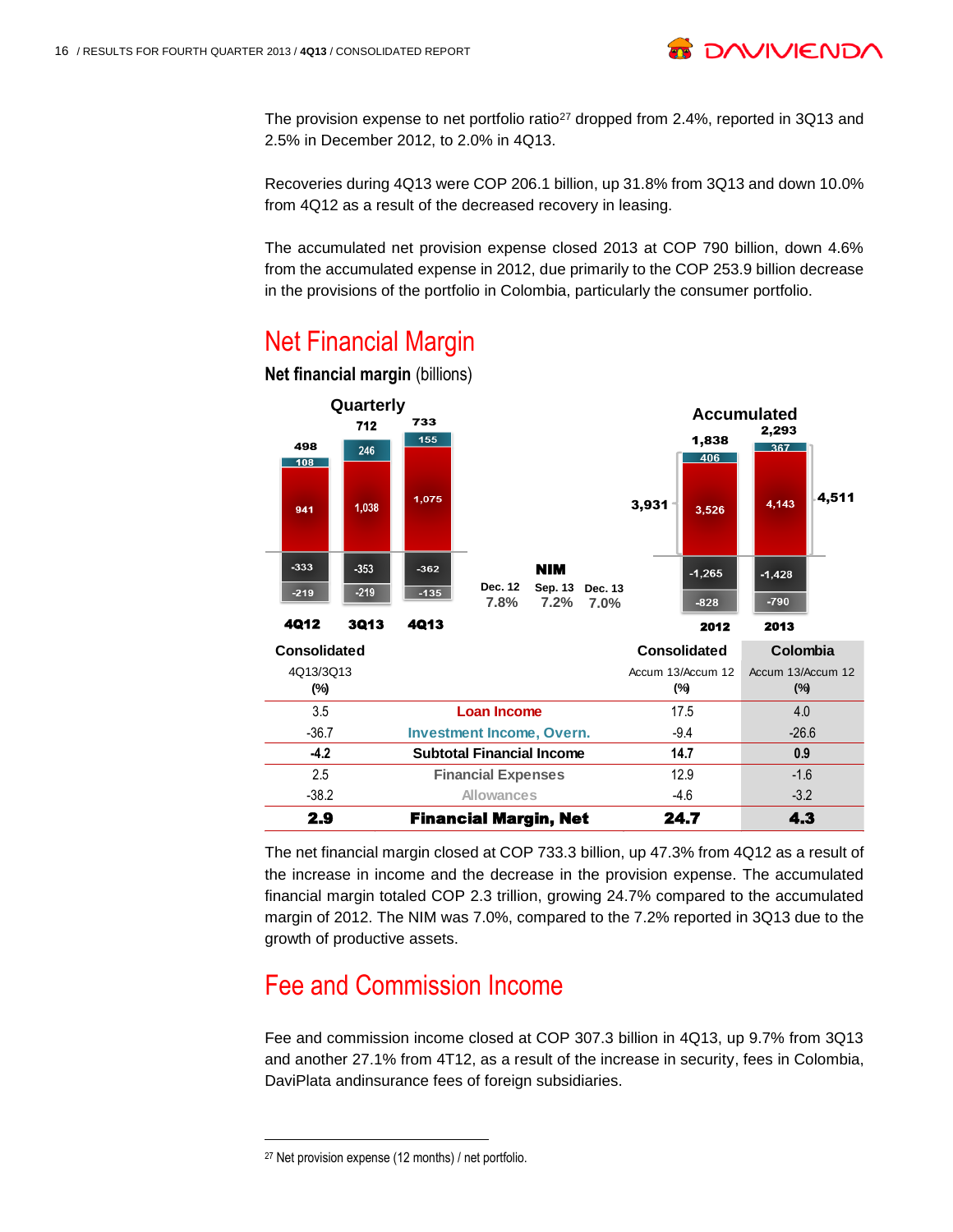

The provision expense to net portfolio ratio<sup>27</sup> dropped from 2.4%, reported in 3Q13 and 2.5% in December 2012, to 2.0% in 4Q13.

Recoveries during 4Q13 were COP 206.1 billion, up 31.8% from 3Q13 and down 10.0% from 4Q12 as a result of the decreased recovery in leasing.

The accumulated net provision expense closed 2013 at COP 790 billion, down 4.6% from the accumulated expense in 2012, due primarily to the COP 253.9 billion decrease in the provisions of the portfolio in Colombia, particularly the consumer portfolio.

## Net Financial Margin



**Net financial margin** (billions)

The net financial margin closed at COP 733.3 billion, up 47.3% from 4Q12 as a result of the increase in income and the decrease in the provision expense. The accumulated financial margin totaled COP 2.3 trillion, growing 24.7% compared to the accumulated margin of 2012. The NIM was 7.0%, compared to the 7.2% reported in 3Q13 due to the growth of productive assets.

## Fee and Commission Income

Fee and commission income closed at COP 307.3 billion in 4Q13, up 9.7% from 3Q13 and another 27.1% from 4T12, as a result of the increase in security, fees in Colombia, DaviPlata andinsurance fees of foreign subsidiaries.

<sup>27</sup> Net provision expense (12 months) / net portfolio.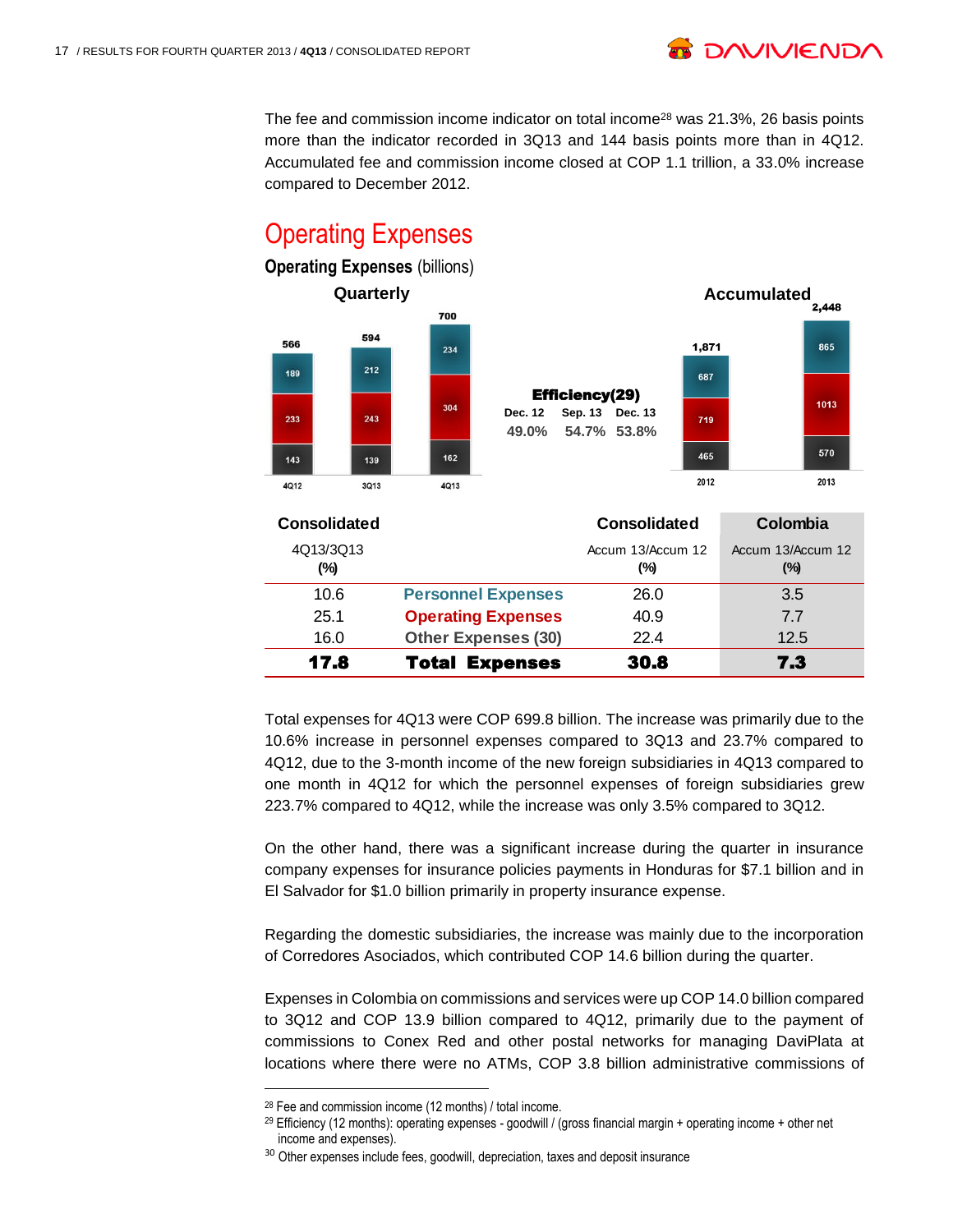The fee and commission income indicator on total income<sup>28</sup> was 21.3%, 26 basis points more than the indicator recorded in 3Q13 and 144 basis points more than in 4Q12. Accumulated fee and commission income closed at COP 1.1 trillion, a 33.0% increase compared to December 2012.

**B DAVIVIEND** 

#### Operating Expenses **Operating Expenses (billions) Quarterly Accumulated Accumulated A** 700 594 566 1,871 865 234 212 189 687 Efficiency(29) 1013 304 **Dec. 12 Sep. 13 Dec. 13** 233 243 719 **49.0% 54.7% 53.8%** 570 465 143 162 139 2012 2013 4Q12 3013 4Q13 **Consolidated Consolidated Colombia** 4Q13/3Q13 Accum 13/Accum 12 Accum 13/Accum 12 **(%) (%) (%)** 10.6 **Personnel Expenses** 26.0 3.5 25.1 **Operating Expenses** 40.9 7.7 16.0 **Other Expenses (30)** 22.4 12.5 17.8 Total Expenses 30.8 7.3

Total expenses for 4Q13 were COP 699.8 billion. The increase was primarily due to the 10.6% increase in personnel expenses compared to 3Q13 and 23.7% compared to 4Q12, due to the 3-month income of the new foreign subsidiaries in 4Q13 compared to one month in 4Q12 for which the personnel expenses of foreign subsidiaries grew 223.7% compared to 4Q12, while the increase was only 3.5% compared to 3Q12.

On the other hand, there was a significant increase during the quarter in insurance company expenses for insurance policies payments in Honduras for \$7.1 billion and in El Salvador for \$1.0 billion primarily in property insurance expense.

Regarding the domestic subsidiaries, the increase was mainly due to the incorporation of Corredores Asociados, which contributed COP 14.6 billion during the quarter.

Expenses in Colombia on commissions and services were up COP 14.0 billion compared to 3Q12 and COP 13.9 billion compared to 4Q12, primarily due to the payment of commissions to Conex Red and other postal networks for managing DaviPlata at locations where there were no ATMs, COP 3.8 billion administrative commissions of

<sup>28</sup> Fee and commission income (12 months) / total income.

<sup>&</sup>lt;sup>29</sup> Efficiency (12 months): operating expenses - goodwill / (gross financial margin + operating income + other net income and expenses).

<sup>&</sup>lt;sup>30</sup> Other expenses include fees, goodwill, depreciation, taxes and deposit insurance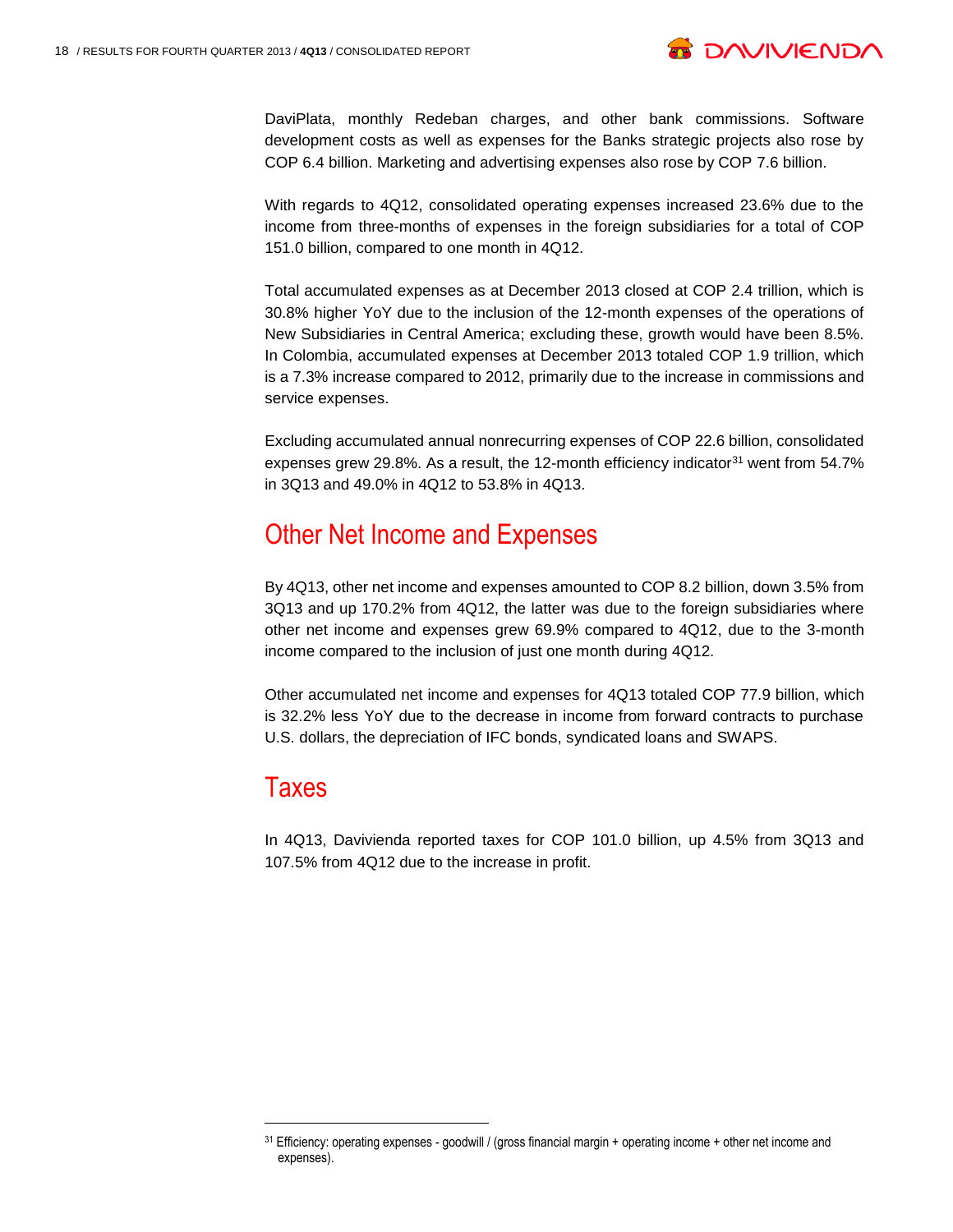

DaviPlata, monthly Redeban charges, and other bank commissions. Software development costs as well as expenses for the Banks strategic projects also rose by COP 6.4 billion. Marketing and advertising expenses also rose by COP 7.6 billion.

With regards to 4Q12, consolidated operating expenses increased 23.6% due to the income from three-months of expenses in the foreign subsidiaries for a total of COP 151.0 billion, compared to one month in 4Q12.

Total accumulated expenses as at December 2013 closed at COP 2.4 trillion, which is 30.8% higher YoY due to the inclusion of the 12-month expenses of the operations of New Subsidiaries in Central America; excluding these, growth would have been 8.5%. In Colombia, accumulated expenses at December 2013 totaled COP 1.9 trillion, which is a 7.3% increase compared to 2012, primarily due to the increase in commissions and service expenses.

Excluding accumulated annual nonrecurring expenses of COP 22.6 billion, consolidated expenses grew 29.8%. As a result, the 12-month efficiency indicator<sup>31</sup> went from 54.7% in 3Q13 and 49.0% in 4Q12 to 53.8% in 4Q13.

#### Other Net Income and Expenses

By 4Q13, other net income and expenses amounted to COP 8.2 billion, down 3.5% from 3Q13 and up 170.2% from 4Q12, the latter was due to the foreign subsidiaries where other net income and expenses grew 69.9% compared to 4Q12, due to the 3-month income compared to the inclusion of just one month during 4Q12.

Other accumulated net income and expenses for 4Q13 totaled COP 77.9 billion, which is 32.2% less YoY due to the decrease in income from forward contracts to purchase U.S. dollars, the depreciation of IFC bonds, syndicated loans and SWAPS.

#### Taxes

l

In 4Q13, Davivienda reported taxes for COP 101.0 billion, up 4.5% from 3Q13 and 107.5% from 4Q12 due to the increase in profit.

<sup>31</sup> Efficiency: operating expenses - goodwill / (gross financial margin + operating income + other net income and expenses).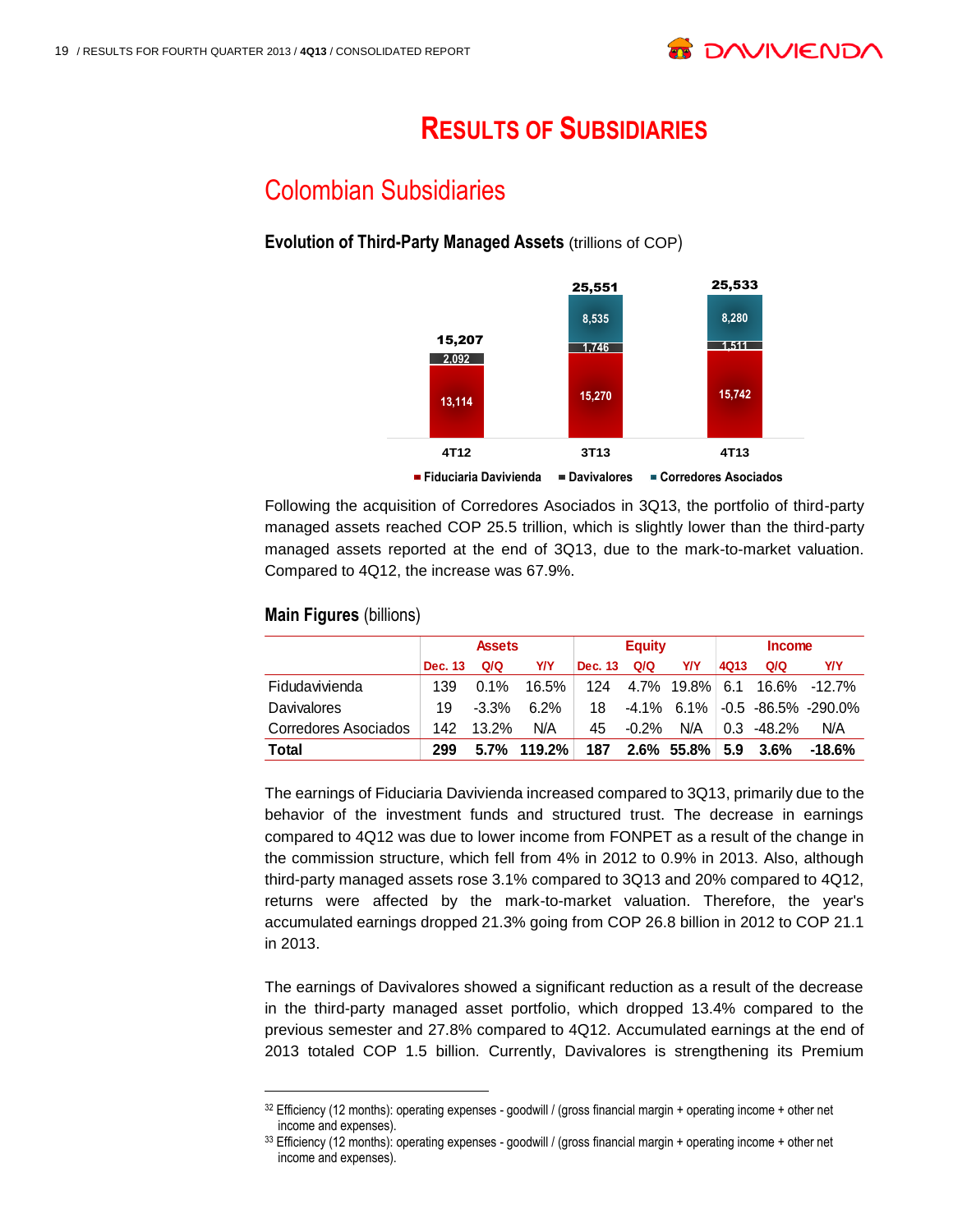## **RESULTS OF SUBSIDIARIES**

## Colombian Subsidiaries

#### **Evolution of Third-Party Managed Assets** (trillions of COP) 32



Following the acquisition of Corredores Asociados in 3Q13, the portfolio of third-party managed assets reached COP 25.5 trillion, which is slightly lower than the third-party managed assets reported at the end of 3Q13, due to the mark-to-market valuation. Compared to 4Q12, the increase was 67.9%.

|                             | <b>Assets</b> |          |         |         | <b>Equity</b> |                | <b>Income</b> |         |                         |  |
|-----------------------------|---------------|----------|---------|---------|---------------|----------------|---------------|---------|-------------------------|--|
|                             | Dec. 13       | Q/Q      | Y/Y     | Dec. 13 | Q/Q           | Y/Y            | <b>4Q13</b>   | Q/Q     | Y/Y                     |  |
| Fidudavivienda              | 139           | $0.1\%$  | 16.5%   |         |               | 124 4.7% 19.8% | 6.1           |         | 16.6% -12.7%            |  |
| Davivalores                 | 19            | $-3.3\%$ | $6.2\%$ | 18      |               | $-4.1\%$ 6.1%  |               |         | $-0.5 -86.5\% -290.0\%$ |  |
| <b>Corredores Asociados</b> | 142           | $13.2\%$ | N/A     | 45      | $-0.2\%$      | N/A            | 0.3           | -48.2%  | N/A                     |  |
| Total                       | 299           | 5.7%     | 119.2%  | 187     |               | $2.6\%$ 55.8%  | 5.9           | $3.6\%$ | $-18.6%$                |  |

#### **Main Figures (billions)**

l

The earnings of Fiduciaria Davivienda increased compared to 3Q13, primarily due to the behavior of the investment funds and structured trust. The decrease in earnings compared to 4Q12 was due to lower income from FONPET as a result of the change in the commission structure, which fell from 4% in 2012 to 0.9% in 2013. Also, although third-party managed assets rose 3.1% compared to 3Q13 and 20% compared to 4Q12, returns were affected by the mark-to-market valuation. Therefore, the year's accumulated earnings dropped 21.3% going from COP 26.8 billion in 2012 to COP 21.1 in 2013.

The earnings of Davivalores showed a significant reduction as a result of the decrease in the third-party managed asset portfolio, which dropped 13.4% compared to the previous semester and 27.8% compared to 4Q12. Accumulated earnings at the end of 2013 totaled COP 1.5 billion. Currently, Davivalores is strengthening its Premium

<sup>32</sup> Efficiency (12 months): operating expenses - goodwill / (gross financial margin + operating income + other net income and expenses).

<sup>33</sup> Efficiency (12 months): operating expenses - goodwill / (gross financial margin + operating income + other net income and expenses).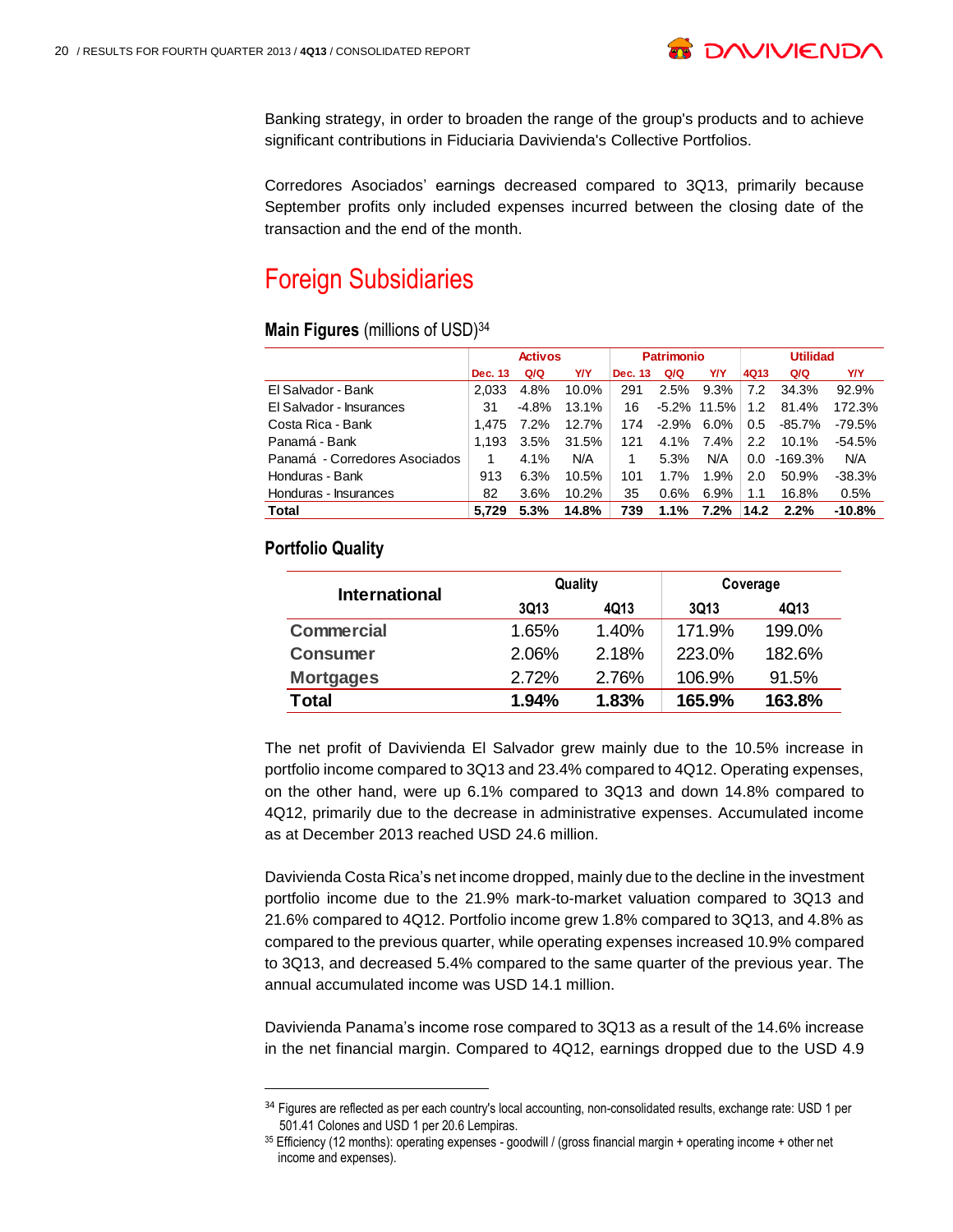

Banking strategy, in order to broaden the range of the group's products and to achieve significant contributions in Fiduciaria Davivienda's Collective Portfolios.

Corredores Asociados' earnings decreased compared to 3Q13, primarily because September profits only included expenses incurred between the closing date of the transaction and the end of the month.

### Foreign Subsidiaries

#### **Main Figures** (millions of USD)<sup>34</sup>

|                               | <b>Activos</b> |          |       |         | <b>Patrimonio</b> |                | <b>Utilidad</b>  |          |            |
|-------------------------------|----------------|----------|-------|---------|-------------------|----------------|------------------|----------|------------|
|                               | Dec. 13        | Q/Q      | Y/Y   | Dec. 13 | Q/Q               | Y/Y            | 4Q13             | Q/Q      | <b>Y/Y</b> |
| El Salvador - Bank            | 2.033          | 4.8%     | 10.0% | 291     | 2.5%              | 9.3%           | 7.2              | 34.3%    | 92.9%      |
| El Salvador - Insurances      | 31             | $-4.8\%$ | 13.1% | 16      |                   | $-5.2\%$ 11.5% | 1.2 <sub>2</sub> | 81.4%    | 172.3%     |
| Costa Rica - Bank             | 1.475          | 7.2%     | 12.7% | 174     | -2.9%             | $6.0\%$        | $0.5^{\circ}$    | $-85.7%$ | -79.5%     |
| Panamá - Bank                 | 1.193          | 3.5%     | 31.5% | 121     | 4.1%              | 7.4%           | $2.2^{\circ}$    | 10.1%    | $-54.5%$   |
| Panamá - Corredores Asociados |                | 4.1%     | N/A   | 1       | 5.3%              | N/A            | 0.0              | -169.3%  | N/A        |
| Honduras - Bank               | 913            | 6.3%     | 10.5% | 101     | 1.7%              | 1.9%           | 2.0              | 50.9%    | $-38.3%$   |
| Honduras - Insurances         | 82             | 3.6%     | 10.2% | 35      | 0.6%              | 6.9%           | 1.1              | 16.8%    | 0.5%       |
| Total                         | 5.729          | 5.3%     | 14.8% | 739     | $1.1\%$           | $7.2\%$        | 14.2             | 2.2%     | $-10.8%$   |

#### **Portfolio Quality**

 $\overline{a}$ 

| <b>International</b> |          | Quality | Coverage |        |  |  |
|----------------------|----------|---------|----------|--------|--|--|
|                      | 3Q13     | 4Q13    | 3013     | 4Q13   |  |  |
| <b>Commercial</b>    | 1.65%    | 1.40%   | 171.9%   | 199.0% |  |  |
| <b>Consumer</b>      | 2.06%    | 2.18%   | 223.0%   | 182.6% |  |  |
| <b>Mortgages</b>     | 2.72%    | 2.76%   | 106.9%   | 91.5%  |  |  |
| Total                | $1.94\%$ | 1.83%   | 165.9%   | 163.8% |  |  |

The net profit of Davivienda El Salvador grew mainly due to the 10.5% increase in portfolio income compared to 3Q13 and 23.4% compared to 4Q12. Operating expenses, on the other hand, were up 6.1% compared to 3Q13 and down 14.8% compared to 4Q12, primarily due to the decrease in administrative expenses. Accumulated income as at December 2013 reached USD 24.6 million.

Davivienda Costa Rica's net income dropped, mainly due to the decline in the investment portfolio income due to the 21.9% mark-to-market valuation compared to 3Q13 and 21.6% compared to 4Q12. Portfolio income grew 1.8% compared to 3Q13, and 4.8% as compared to the previous quarter, while operating expenses increased 10.9% compared to 3Q13, and decreased 5.4% compared to the same quarter of the previous year. The annual accumulated income was USD 14.1 million.

Davivienda Panama's income rose compared to 3Q13 as a result of the 14.6% increase in the net financial margin. Compared to 4Q12, earnings dropped due to the USD 4.9

<sup>&</sup>lt;sup>34</sup> Figures are reflected as per each country's local accounting, non-consolidated results, exchange rate: USD 1 per 501.41 Colones and USD 1 per 20.6 Lempiras.

<sup>35</sup> Efficiency (12 months): operating expenses - goodwill / (gross financial margin + operating income + other net income and expenses).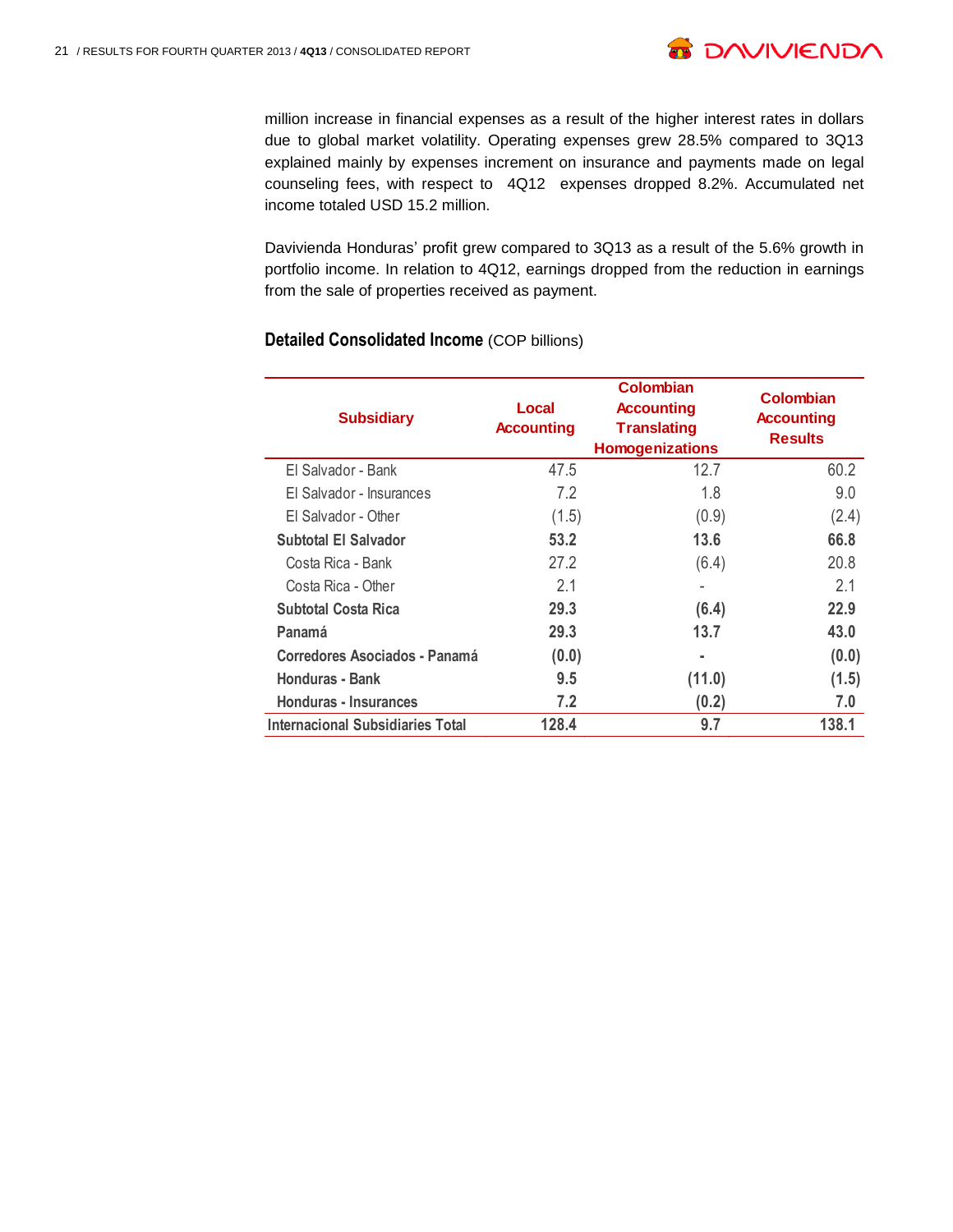

million increase in financial expenses as a result of the higher interest rates in dollars due to global market volatility. Operating expenses grew 28.5% compared to 3Q13 explained mainly by expenses increment on insurance and payments made on legal counseling fees, with respect to 4Q12 expenses dropped 8.2%. Accumulated net income totaled USD 15.2 million.

Davivienda Honduras' profit grew compared to 3Q13 as a result of the 5.6% growth in portfolio income. In relation to 4Q12, earnings dropped from the reduction in earnings from the sale of properties received as payment.

| <b>Subsidiary</b>                | Local<br><b>Accounting</b> | <b>Colombian</b><br><b>Accounting</b><br><b>Translating</b><br><b>Homogenizations</b> | Colombian<br><b>Accounting</b><br><b>Results</b> |
|----------------------------------|----------------------------|---------------------------------------------------------------------------------------|--------------------------------------------------|
| El Salvador - Bank               | 47.5                       | 12.7                                                                                  | 60.2                                             |
| El Salvador - Insurances         | 7.2                        | 1.8                                                                                   | 9.0                                              |
| El Salvador - Other              | (1.5)                      | (0.9)                                                                                 | (2.4)                                            |
| <b>Subtotal El Salvador</b>      | 53.2                       | 13.6                                                                                  | 66.8                                             |
| Costa Rica - Bank                | 27.2                       | (6.4)                                                                                 | 20.8                                             |
| Costa Rica - Other               | 2.1                        | ٠                                                                                     | 2.1                                              |
| <b>Subtotal Costa Rica</b>       | 29.3                       | (6.4)                                                                                 | 22.9                                             |
| Panamá                           | 29.3                       | 13.7                                                                                  | 43.0                                             |
| Corredores Asociados - Panamá    | (0.0)                      | ٠                                                                                     | (0.0)                                            |
| Honduras - Bank                  | 9.5                        | (11.0)                                                                                | (1.5)                                            |
| Honduras - Insurances            | 7.2                        | (0.2)                                                                                 | 7.0                                              |
| Internacional Subsidiaries Total | 128.4                      | 9.7                                                                                   | 138.1                                            |

#### **Detailed Consolidated Income** (COP billions)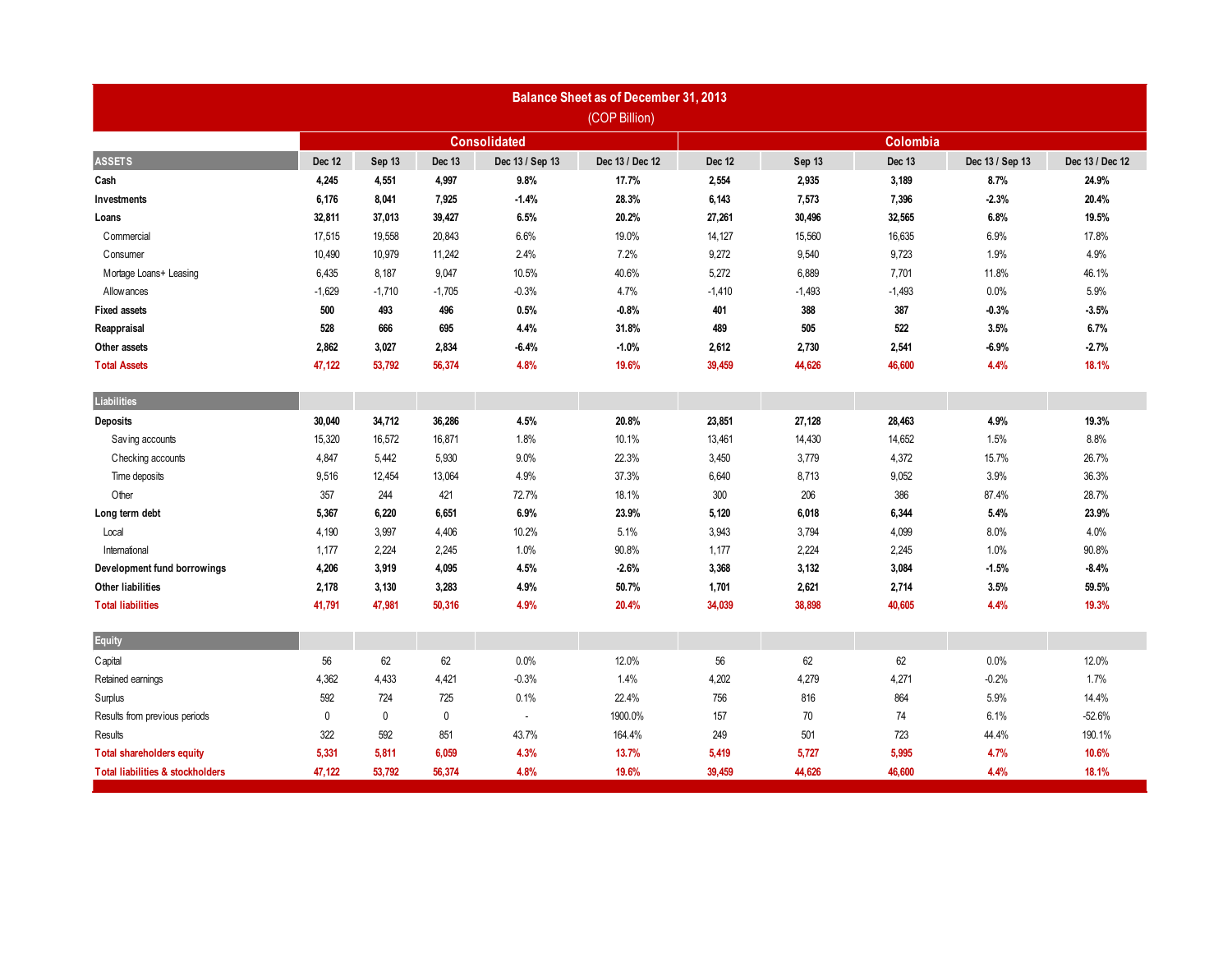| <b>Balance Sheet as of December 31, 2013</b><br>(COP Billion) |                     |             |             |                          |                 |          |          |          |                 |                 |  |
|---------------------------------------------------------------|---------------------|-------------|-------------|--------------------------|-----------------|----------|----------|----------|-----------------|-----------------|--|
|                                                               | <b>Consolidated</b> |             |             |                          |                 | Colombia |          |          |                 |                 |  |
| <b>ASSETS</b>                                                 | Dec 12              | Sep 13      | Dec 13      | Dec 13 / Sep 13          | Dec 13 / Dec 12 | Dec 12   | Sep 13   | Dec 13   | Dec 13 / Sep 13 | Dec 13 / Dec 12 |  |
| Cash                                                          | 4,245               | 4,551       | 4,997       | 9.8%                     | 17.7%           | 2,554    | 2,935    | 3,189    | 8.7%            | 24.9%           |  |
| Investments                                                   | 6,176               | 8,041       | 7,925       | $-1.4%$                  | 28.3%           | 6,143    | 7,573    | 7,396    | $-2.3%$         | 20.4%           |  |
| Loans                                                         | 32,811              | 37,013      | 39,427      | 6.5%                     | 20.2%           | 27,261   | 30,496   | 32,565   | 6.8%            | 19.5%           |  |
| Commercial                                                    | 17,515              | 19,558      | 20,843      | 6.6%                     | 19.0%           | 14,127   | 15,560   | 16,635   | 6.9%            | 17.8%           |  |
| Consumer                                                      | 10,490              | 10,979      | 11,242      | 2.4%                     | 7.2%            | 9,272    | 9,540    | 9,723    | 1.9%            | 4.9%            |  |
| Mortage Loans+ Leasing                                        | 6,435               | 8,187       | 9,047       | 10.5%                    | 40.6%           | 5,272    | 6,889    | 7,701    | 11.8%           | 46.1%           |  |
| Allowances                                                    | $-1,629$            | $-1,710$    | $-1,705$    | $-0.3%$                  | 4.7%            | $-1,410$ | $-1,493$ | $-1,493$ | 0.0%            | 5.9%            |  |
| <b>Fixed assets</b>                                           | 500                 | 493         | 496         | 0.5%                     | $-0.8%$         | 401      | 388      | 387      | $-0.3%$         | $-3.5%$         |  |
| Reappraisal                                                   | 528                 | 666         | 695         | 4.4%                     | 31.8%           | 489      | 505      | 522      | 3.5%            | 6.7%            |  |
| Other assets                                                  | 2,862               | 3,027       | 2,834       | $-6.4%$                  | $-1.0%$         | 2,612    | 2,730    | 2,541    | $-6.9%$         | $-2.7%$         |  |
| <b>Total Assets</b>                                           | 47,122              | 53,792      | 56,374      | 4.8%                     | 19.6%           | 39,459   | 44,626   | 46,600   | 4.4%            | 18.1%           |  |
| Liabilities                                                   |                     |             |             |                          |                 |          |          |          |                 |                 |  |
| Deposits                                                      | 30,040              | 34,712      | 36,286      | 4.5%                     | 20.8%           | 23,851   | 27,128   | 28,463   | 4.9%            | 19.3%           |  |
| Saving accounts                                               | 15,320              | 16,572      | 16,871      | 1.8%                     | 10.1%           | 13,461   | 14,430   | 14,652   | 1.5%            | 8.8%            |  |
| Checking accounts                                             | 4,847               | 5,442       | 5,930       | 9.0%                     | 22.3%           | 3,450    | 3,779    | 4,372    | 15.7%           | 26.7%           |  |
| Time deposits                                                 | 9,516               | 12,454      | 13,064      | 4.9%                     | 37.3%           | 6,640    | 8,713    | 9,052    | 3.9%            | 36.3%           |  |
| Other                                                         | 357                 | 244         | 421         | 72.7%                    | 18.1%           | 300      | 206      | 386      | 87.4%           | 28.7%           |  |
| Long term debt                                                | 5,367               | 6,220       | 6,651       | 6.9%                     | 23.9%           | 5,120    | 6,018    | 6,344    | 5.4%            | 23.9%           |  |
| Local                                                         | 4,190               | 3,997       | 4,406       | 10.2%                    | 5.1%            | 3,943    | 3,794    | 4,099    | 8.0%            | 4.0%            |  |
| International                                                 | 1,177               | 2,224       | 2,245       | 1.0%                     | 90.8%           | 1,177    | 2,224    | 2,245    | 1.0%            | 90.8%           |  |
| Development fund borrowings                                   | 4,206               | 3,919       | 4,095       | 4.5%                     | $-2.6%$         | 3,368    | 3,132    | 3,084    | $-1.5%$         | $-8.4%$         |  |
| <b>Other liabilities</b>                                      | 2,178               | 3,130       | 3,283       | 4.9%                     | 50.7%           | 1,701    | 2,621    | 2,714    | 3.5%            | 59.5%           |  |
| <b>Total liabilities</b>                                      | 41,791              | 47,981      | 50,316      | 4.9%                     | 20.4%           | 34,039   | 38,898   | 40,605   | 4.4%            | 19.3%           |  |
| Equity                                                        |                     |             |             |                          |                 |          |          |          |                 |                 |  |
| Capital                                                       | 56                  | 62          | 62          | 0.0%                     | 12.0%           | 56       | 62       | 62       | 0.0%            | 12.0%           |  |
| Retained earnings                                             | 4,362               | 4,433       | 4,421       | $-0.3%$                  | 1.4%            | 4,202    | 4,279    | 4,271    | $-0.2%$         | 1.7%            |  |
| Surplus                                                       | 592                 | 724         | 725         | 0.1%                     | 22.4%           | 756      | 816      | 864      | 5.9%            | 14.4%           |  |
| Results from previous periods                                 | $\mathbf 0$         | $\mathbf 0$ | $\mathbf 0$ | $\overline{\phantom{a}}$ | 1900.0%         | 157      | 70       | 74       | 6.1%            | $-52.6%$        |  |
| <b>Results</b>                                                | 322                 | 592         | 851         | 43.7%                    | 164.4%          | 249      | 501      | 723      | 44.4%           | 190.1%          |  |
| <b>Total shareholders equity</b>                              | 5,331               | 5,811       | 6,059       | 4.3%                     | 13.7%           | 5,419    | 5,727    | 5,995    | 4.7%            | 10.6%           |  |
| <b>Total liabilities &amp; stockholders</b>                   | 47,122              | 53,792      | 56,374      | 4.8%                     | 19.6%           | 39,459   | 44,626   | 46,600   | 4.4%            | 18.1%           |  |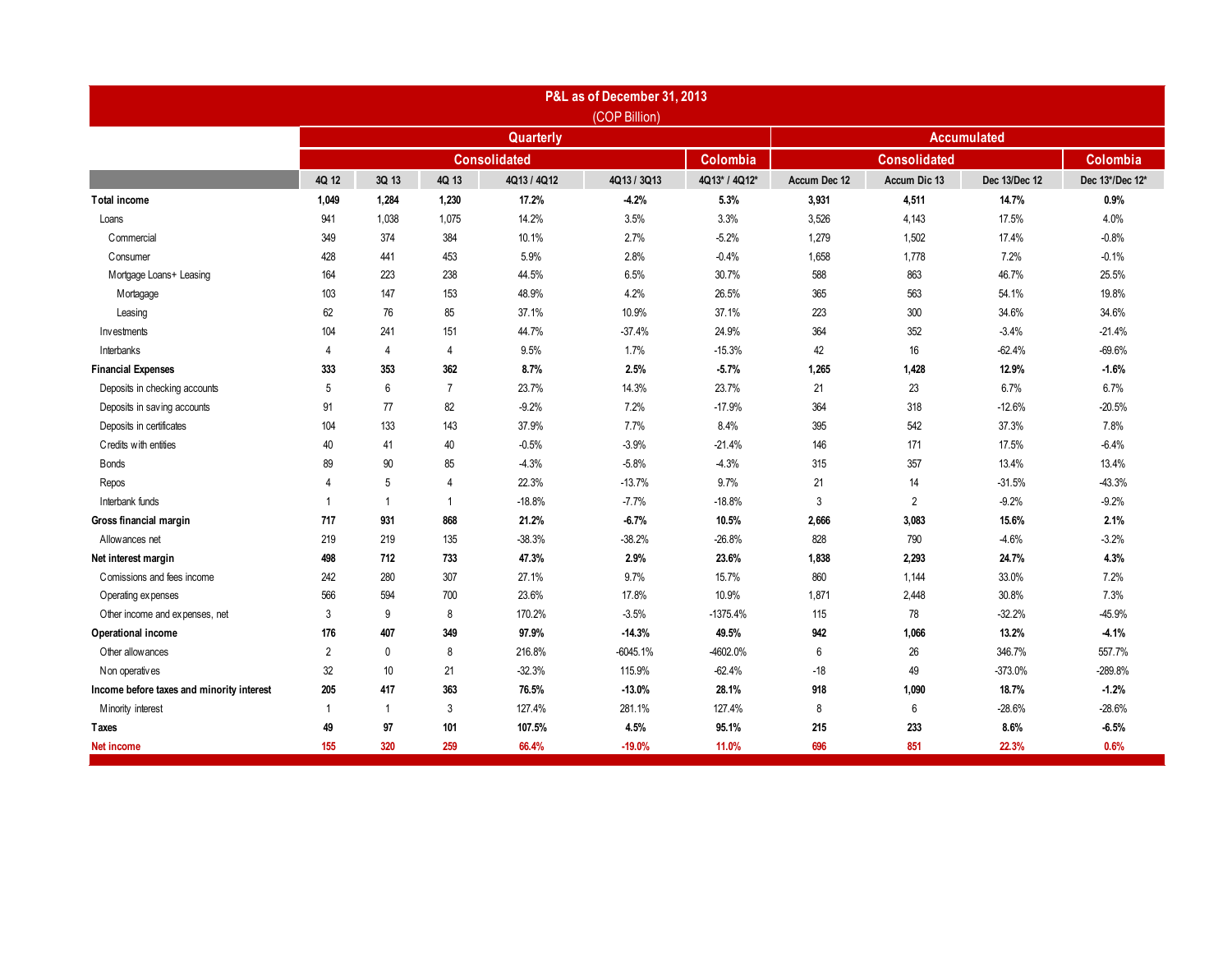|                                           |                |                |                |                     | P&L as of December 31, 2013 |               |                    |                     |               |                 |  |  |
|-------------------------------------------|----------------|----------------|----------------|---------------------|-----------------------------|---------------|--------------------|---------------------|---------------|-----------------|--|--|
|                                           |                |                |                |                     | (COP Billion)               |               | <b>Accumulated</b> |                     |               |                 |  |  |
|                                           |                | Quarterly      |                |                     |                             |               |                    |                     |               |                 |  |  |
|                                           |                |                |                | <b>Consolidated</b> |                             | Colombia      |                    | <b>Consolidated</b> |               | Colombia        |  |  |
|                                           | 4Q 12          | 3Q 13          | 4Q 13          | 4Q13 / 4Q12         | 4Q13 / 3Q13                 | 4Q13* / 4Q12* | Accum Dec 12       | Accum Dic 13        | Dec 13/Dec 12 | Dec 13*/Dec 12* |  |  |
| <b>Total income</b>                       | 1,049          | 1,284          | 1,230          | 17.2%               | $-4.2%$                     | 5.3%          | 3,931              | 4,511               | 14.7%         | 0.9%            |  |  |
| Loans                                     | 941            | 1,038          | 1,075          | 14.2%               | 3.5%                        | 3.3%          | 3,526              | 4,143               | 17.5%         | 4.0%            |  |  |
| Commercial                                | 349            | 374            | 384            | 10.1%               | 2.7%                        | $-5.2%$       | 1,279              | 1,502               | 17.4%         | $-0.8%$         |  |  |
| Consumer                                  | 428            | 441            | 453            | 5.9%                | 2.8%                        | $-0.4%$       | 1,658              | 1,778               | 7.2%          | $-0.1%$         |  |  |
| Mortgage Loans+ Leasing                   | 164            | 223            | 238            | 44.5%               | 6.5%                        | 30.7%         | 588                | 863                 | 46.7%         | 25.5%           |  |  |
| Mortagage                                 | 103            | 147            | 153            | 48.9%               | 4.2%                        | 26.5%         | 365                | 563                 | 54.1%         | 19.8%           |  |  |
| Leasing                                   | 62             | 76             | 85             | 37.1%               | 10.9%                       | 37.1%         | 223                | 300                 | 34.6%         | 34.6%           |  |  |
| Investments                               | 104            | 241            | 151            | 44.7%               | $-37.4%$                    | 24.9%         | 364                | 352                 | $-3.4%$       | $-21.4%$        |  |  |
| Interbanks                                | 4              | $\overline{4}$ | $\overline{4}$ | 9.5%                | 1.7%                        | $-15.3%$      | 42                 | 16                  | $-62.4%$      | $-69.6%$        |  |  |
| <b>Financial Expenses</b>                 | 333            | 353            | 362            | 8.7%                | 2.5%                        | $-5.7%$       | 1,265              | 1,428               | 12.9%         | $-1.6%$         |  |  |
| Deposits in checking accounts             | 5              | 6              | $\overline{7}$ | 23.7%               | 14.3%                       | 23.7%         | 21                 | 23                  | 6.7%          | 6.7%            |  |  |
| Deposits in saving accounts               | 91             | 77             | 82             | $-9.2%$             | 7.2%                        | $-17.9%$      | 364                | 318                 | $-12.6%$      | $-20.5%$        |  |  |
| Deposits in certificates                  | 104            | 133            | 143            | 37.9%               | 7.7%                        | 8.4%          | 395                | 542                 | 37.3%         | 7.8%            |  |  |
| Credits with entities                     | 40             | 41             | 40             | $-0.5%$             | $-3.9%$                     | $-21.4%$      | 146                | 171                 | 17.5%         | $-6.4%$         |  |  |
| <b>Bonds</b>                              | 89             | 90             | 85             | $-4.3%$             | $-5.8%$                     | $-4.3%$       | 315                | 357                 | 13.4%         | 13.4%           |  |  |
| Repos                                     | 4              | 5              | $\overline{4}$ | 22.3%               | $-13.7%$                    | 9.7%          | 21                 | 14                  | $-31.5%$      | $-43.3%$        |  |  |
| Interbank funds                           | $\overline{1}$ | $\overline{1}$ | $\mathbf{1}$   | $-18.8%$            | $-7.7%$                     | $-18.8%$      | 3                  | $\overline{2}$      | $-9.2%$       | $-9.2%$         |  |  |
| Gross financial margin                    | 717            | 931            | 868            | 21.2%               | $-6.7%$                     | 10.5%         | 2,666              | 3,083               | 15.6%         | 2.1%            |  |  |
| Allow ances net                           | 219            | 219            | 135            | $-38.3%$            | $-38.2%$                    | $-26.8%$      | 828                | 790                 | $-4.6%$       | $-3.2%$         |  |  |
| Net interest margin                       | 498            | 712            | 733            | 47.3%               | 2.9%                        | 23.6%         | 1,838              | 2,293               | 24.7%         | 4.3%            |  |  |
| Comissions and fees income                | 242            | 280            | 307            | 27.1%               | 9.7%                        | 15.7%         | 860                | 1,144               | 33.0%         | 7.2%            |  |  |
| Operating expenses                        | 566            | 594            | 700            | 23.6%               | 17.8%                       | 10.9%         | 1,871              | 2,448               | 30.8%         | 7.3%            |  |  |
| Other income and expenses, net            | 3              | 9              | 8              | 170.2%              | $-3.5%$                     | $-1375.4%$    | 115                | 78                  | $-32.2%$      | $-45.9%$        |  |  |
| Operational income                        | 176            | 407            | 349            | 97.9%               | $-14.3%$                    | 49.5%         | 942                | 1,066               | 13.2%         | $-4.1%$         |  |  |
| Other allow ances                         | $\overline{2}$ | $\mathbf 0$    | 8              | 216.8%              | $-6045.1%$                  | -4602.0%      | 6                  | 26                  | 346.7%        | 557.7%          |  |  |
| Non operatives                            | 32             | 10             | 21             | $-32.3%$            | 115.9%                      | $-62.4%$      | $-18$              | 49                  | $-373.0%$     | -289.8%         |  |  |
| Income before taxes and minority interest | 205            | 417            | 363            | 76.5%               | $-13.0%$                    | 28.1%         | 918                | 1,090               | 18.7%         | $-1.2%$         |  |  |
| Minority interest                         | $\overline{1}$ | $\overline{1}$ | 3              | 127.4%              | 281.1%                      | 127.4%        | 8                  | 6                   | $-28.6%$      | $-28.6%$        |  |  |
| <b>Taxes</b>                              | 49             | 97             | 101            | 107.5%              | 4.5%                        | 95.1%         | 215                | 233                 | 8.6%          | $-6.5%$         |  |  |
| Net income                                | 155            | 320            | 259            | 66.4%               | $-19.0%$                    | 11.0%         | 696                | 851                 | 22.3%         | 0.6%            |  |  |